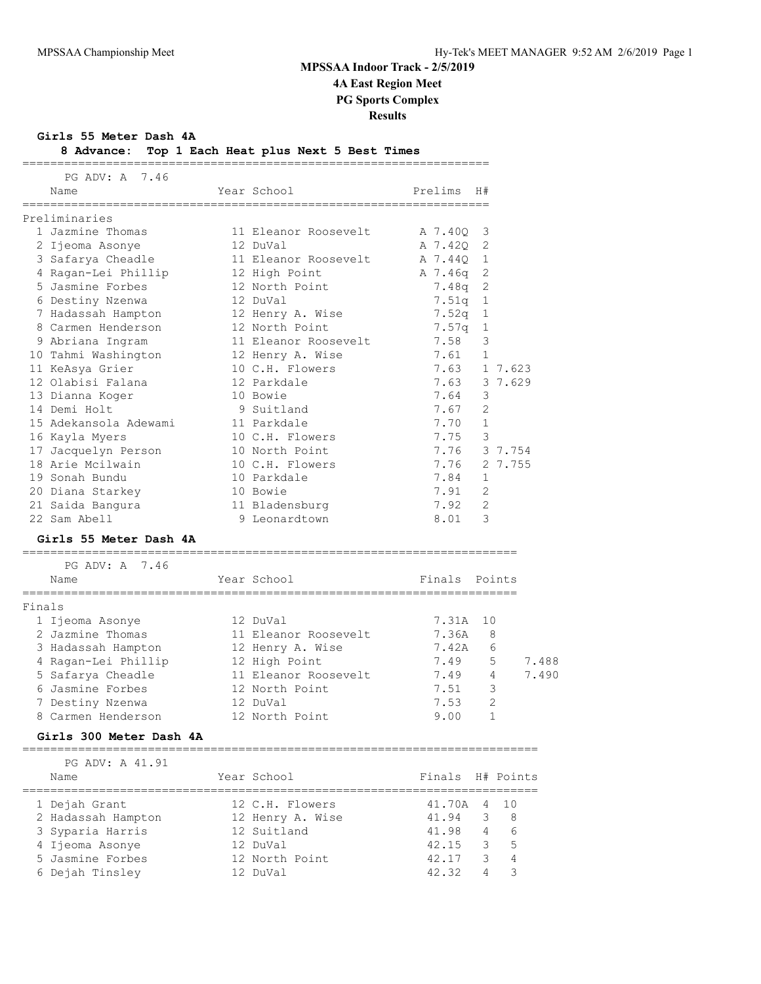**Girls 55 Meter Dash 4A**

| 8 Advance: Top 1 Each Heat plus Next 5 Best Times |  |  |  |  |
|---------------------------------------------------|--|--|--|--|
|                                                   |  |  |  |  |

|  | − |  |  |  |  |  |  |  |  |  |  |
|--|---|--|--|--|--|--|--|--|--|--|--|

|        | PG ADV: A 7.46                                        |                      |               |                |       |
|--------|-------------------------------------------------------|----------------------|---------------|----------------|-------|
|        | Name                                                  | Year School          | Prelims       | H#             |       |
|        | Preliminaries                                         |                      |               |                |       |
|        | 1 Jazmine Thomas                                      | 11 Eleanor Roosevelt | A 7.400       | 3              |       |
|        | 2 Ijeoma Asonye                                       | 12 DuVal             | A 7.420       | - 2            |       |
|        | 3 Safarya Cheadle                                     | 11 Eleanor Roosevelt | A 7.44Q       | 1              |       |
|        | 4 Ragan-Lei Phillip                                   | 12 High Point        | A 7.46q 2     |                |       |
|        | 5 Jasmine Forbes                                      | 12 North Point       | 7.48a         | 2              |       |
|        | 6 Destiny Nzenwa                                      | 12 DuVal             | 7.51q         | 1              |       |
|        | 7 Hadassah Hampton                                    | 12 Henry A. Wise     | 7.52q         | <sup>1</sup>   |       |
|        | 8 Carmen Henderson                                    | 12 North Point       | 7.57q         | <sup>1</sup>   |       |
|        | 9 Abriana Ingram                                      | 11 Eleanor Roosevelt | 7.58          | 3              |       |
|        | 10 Tahmi Washington                                   | 12 Henry A. Wise     | 7.61          | $\mathbf{1}$   |       |
|        | 11 KeAsya Grier                                       | 10 C.H. Flowers      | 7.63          | 1 7.623        |       |
|        | 12 Olabisi Falana                                     | 12 Parkdale          | 7.63          | 3 7.629        |       |
|        | 13 Dianna Koger                                       | 10 Bowie             | 7.64          | 3              |       |
|        | 14 Demi Holt                                          | 9 Suitland           | 7.67          | 2              |       |
|        | 15 Adekansola Adewami                                 | 11 Parkdale          | 7.70          | $\mathbf 1$    |       |
|        | 16 Kayla Myers                                        | 10 C.H. Flowers      | 7.75          | 3              |       |
|        | 17 Jacquelyn Person                                   | 10 North Point       | 7.76          | 3 7.754        |       |
|        | 18 Arie Mcilwain                                      | 10 C.H. Flowers      | 7.76          | 2 7.755        |       |
|        | 19 Sonah Bundu                                        | 10 Parkdale          | 7.84          | 1              |       |
|        | 20 Diana Starkey                                      | 10 Bowie             | 7.91          | 2              |       |
|        | 21 Saida Bangura                                      | 11 Bladensburg       | 7.92          | 2              |       |
|        | 22 Sam Abell                                          | 9 Leonardtown        | 8.01          | 3              |       |
|        | Girls 55 Meter Dash 4A                                |                      |               |                |       |
|        | -----------------------------------<br>PG ADV: A 7.46 |                      |               |                |       |
|        | Name                                                  | Year School          | Finals Points |                |       |
| Finals |                                                       |                      |               |                |       |
|        | 1 Ijeoma Asonye                                       | 12 DuVal             | 7.31A         | 10             |       |
|        | 2 Jazmine Thomas                                      | 11 Eleanor Roosevelt | 7.36A         | 8              |       |
|        | 3 Hadassah Hampton                                    | 12 Henry A. Wise     | 7.42A         | 6              |       |
|        | 4 Ragan-Lei Phillip 12 High Point                     |                      | 7.49          | 5              | 7.488 |
|        | 5 Safarya Cheadle                                     | 11 Eleanor Roosevelt | 7.49          | 4              | 7.490 |
|        | 6 Jasmine Forbes                                      | 12 North Point       | 7.51          | 3              |       |
|        | 7 Destiny Nzenwa                                      | 12 DuVal             | 7.53          | $\overline{2}$ |       |
|        | 8 Carmen Henderson                                    | 12 North Point       | 9.00          | $\mathbf{1}$   |       |
|        | Girls 300 Meter Dash 4A                               |                      |               |                |       |
|        | PG ADV: A 41.91                                       |                      |               |                |       |

| Name               | Year School      | Finals H# Points |   |                |
|--------------------|------------------|------------------|---|----------------|
| 1 Dejah Grant      | 12 C.H. Flowers  | 41.70A 4 10      |   |                |
| 2 Hadassah Hampton | 12 Henry A. Wise | 41.94            | 3 | - 8            |
| 3 Syparia Harris   | 12 Suitland      | 41.98            | 4 | 6              |
| 4 Ijeoma Asonye    | 12 DuVal         | 42.15            | 3 | 5 <sup>5</sup> |
| 5 Jasmine Forbes   | 12 North Point   | 42.17            | 3 | 4              |
| 6 Dejah Tinsley    | 12 DuVal         | 42.32            | Δ |                |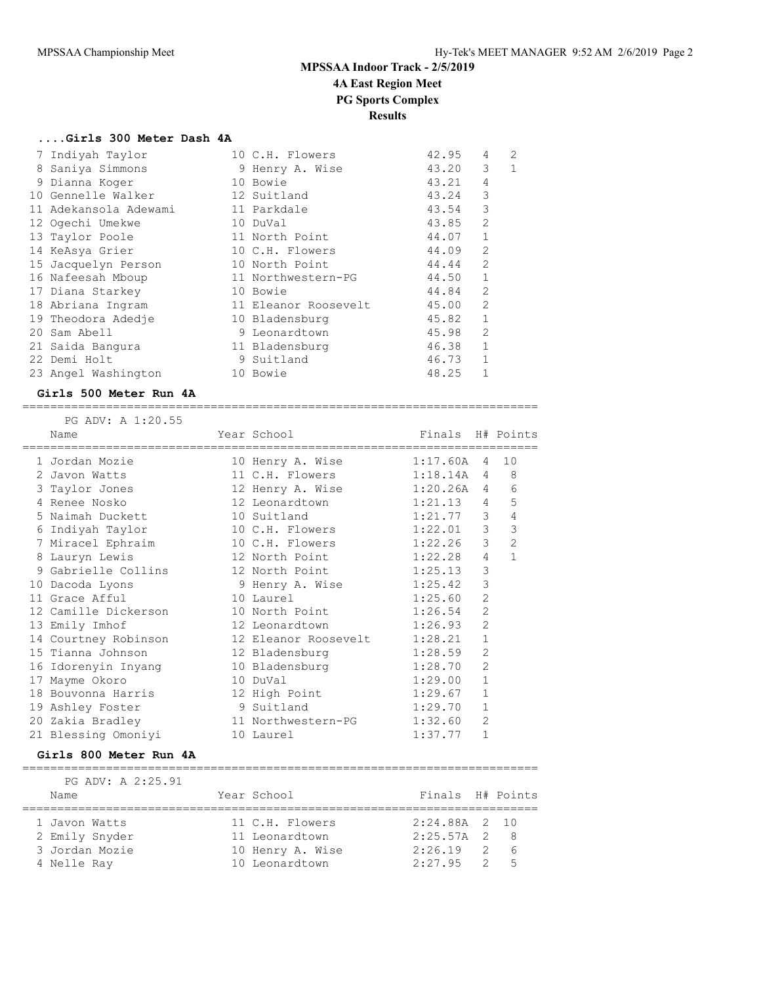### **....Girls 300 Meter Dash 4A**

| 7 Indiyah Taylor      | 10 C.H. Flowers      | 42.95 | 4              | 2 |
|-----------------------|----------------------|-------|----------------|---|
| 8 Saniya Simmons      | 9 Henry A. Wise      | 43.20 | 3              | 1 |
| 9 Dianna Koger        | 10 Bowie             | 43.21 | 4              |   |
| 10 Gennelle Walker    | 12 Suitland          | 43.24 | 3              |   |
| 11 Adekansola Adewami | 11 Parkdale          | 43.54 | 3              |   |
| 12 Ogechi Umekwe      | 10 DuVal             | 43.85 | $\overline{2}$ |   |
| 13 Taylor Poole       | 11 North Point       | 44.07 | $\mathbf{1}$   |   |
| 14 KeAsya Grier       | 10 C.H. Flowers      | 44.09 | 2              |   |
| 15 Jacquelyn Person   | 10 North Point       | 44.44 | $\mathfrak{D}$ |   |
| 16 Nafeesah Mboup     | 11 Northwestern-PG   | 44.50 | 1              |   |
| 17 Diana Starkey      | 10 Bowie             | 44.84 | $\mathfrak{L}$ |   |
| 18 Abriana Ingram     | 11 Eleanor Roosevelt | 45.00 | $\overline{2}$ |   |
| 19 Theodora Adedje    | 10 Bladensburg       | 45.82 | 1              |   |
| 20 Sam Abell          | 9 Leonardtown        | 45.98 | $\overline{2}$ |   |
| 21 Saida Bangura      | 11 Bladensburg       | 46.38 | 1              |   |
| 22 Demi Holt          | 9 Suitland           | 46.73 | 1              |   |
| 23 Angel Washington   | 10 Bowie             | 48.25 | 1              |   |

#### **Girls 500 Meter Run 4A** ==========================================================================

 PG ADV: A 1:20.55 Name Year School Finals H# Points ========================================================================== 1 Jordan Mozie 10 Henry A. Wise 1:17.60A 4 10 2 Javon Watts 11 C.H. Flowers 1:18.14A 4 8

| vavvii watto |                                                                                                                                                                                                                                                                                                                                                                          | 1.10.17A                                                                                                                                                                                                                                                                                                                                                                 | п.             | ◡                                                                                                                                                                                                  |
|--------------|--------------------------------------------------------------------------------------------------------------------------------------------------------------------------------------------------------------------------------------------------------------------------------------------------------------------------------------------------------------------------|--------------------------------------------------------------------------------------------------------------------------------------------------------------------------------------------------------------------------------------------------------------------------------------------------------------------------------------------------------------------------|----------------|----------------------------------------------------------------------------------------------------------------------------------------------------------------------------------------------------|
|              |                                                                                                                                                                                                                                                                                                                                                                          |                                                                                                                                                                                                                                                                                                                                                                          | 4              | 6                                                                                                                                                                                                  |
|              |                                                                                                                                                                                                                                                                                                                                                                          |                                                                                                                                                                                                                                                                                                                                                                          | $\overline{4}$ | 5                                                                                                                                                                                                  |
|              |                                                                                                                                                                                                                                                                                                                                                                          |                                                                                                                                                                                                                                                                                                                                                                          | 3              | $\overline{4}$                                                                                                                                                                                     |
|              |                                                                                                                                                                                                                                                                                                                                                                          |                                                                                                                                                                                                                                                                                                                                                                          |                | $\overline{3}$                                                                                                                                                                                     |
|              |                                                                                                                                                                                                                                                                                                                                                                          |                                                                                                                                                                                                                                                                                                                                                                          | 3              | $\overline{2}$                                                                                                                                                                                     |
|              |                                                                                                                                                                                                                                                                                                                                                                          |                                                                                                                                                                                                                                                                                                                                                                          | 4              | $\mathbf{1}$                                                                                                                                                                                       |
|              |                                                                                                                                                                                                                                                                                                                                                                          |                                                                                                                                                                                                                                                                                                                                                                          | 3              |                                                                                                                                                                                                    |
|              |                                                                                                                                                                                                                                                                                                                                                                          |                                                                                                                                                                                                                                                                                                                                                                          | 3              |                                                                                                                                                                                                    |
|              |                                                                                                                                                                                                                                                                                                                                                                          |                                                                                                                                                                                                                                                                                                                                                                          | 2              |                                                                                                                                                                                                    |
|              |                                                                                                                                                                                                                                                                                                                                                                          |                                                                                                                                                                                                                                                                                                                                                                          | $\overline{2}$ |                                                                                                                                                                                                    |
|              |                                                                                                                                                                                                                                                                                                                                                                          |                                                                                                                                                                                                                                                                                                                                                                          | $\overline{2}$ |                                                                                                                                                                                                    |
|              |                                                                                                                                                                                                                                                                                                                                                                          |                                                                                                                                                                                                                                                                                                                                                                          | $\mathbf{1}$   |                                                                                                                                                                                                    |
|              |                                                                                                                                                                                                                                                                                                                                                                          | 1:28.59                                                                                                                                                                                                                                                                                                                                                                  | $\overline{2}$ |                                                                                                                                                                                                    |
|              |                                                                                                                                                                                                                                                                                                                                                                          |                                                                                                                                                                                                                                                                                                                                                                          | $\overline{2}$ |                                                                                                                                                                                                    |
|              |                                                                                                                                                                                                                                                                                                                                                                          |                                                                                                                                                                                                                                                                                                                                                                          | $\mathbf{1}$   |                                                                                                                                                                                                    |
|              |                                                                                                                                                                                                                                                                                                                                                                          |                                                                                                                                                                                                                                                                                                                                                                          | $\mathbf{1}$   |                                                                                                                                                                                                    |
|              |                                                                                                                                                                                                                                                                                                                                                                          | 1:29.70                                                                                                                                                                                                                                                                                                                                                                  | $\mathbf{1}$   |                                                                                                                                                                                                    |
|              |                                                                                                                                                                                                                                                                                                                                                                          | 1:32.60                                                                                                                                                                                                                                                                                                                                                                  | $\overline{2}$ |                                                                                                                                                                                                    |
|              |                                                                                                                                                                                                                                                                                                                                                                          | 1:37.77                                                                                                                                                                                                                                                                                                                                                                  | $\mathbf{1}$   |                                                                                                                                                                                                    |
|              | 3 Taylor Jones<br>4 Renee Nosko<br>5 Naimah Duckett<br>6 Indiyah Taylor<br>7 Miracel Ephraim<br>8 Lauryn Lewis<br>10 Dacoda Lyons<br>11 Grace Afful<br>12 Camille Dickerson<br>13 Emily Imhof<br>14 Courtney Robinson<br>15 Tianna Johnson<br>16 Idorenyin Inyang<br>17 Mayme Okoro<br>18 Bouvonna Harris<br>19 Ashley Foster<br>20 Zakia Bradley<br>21 Blessing Omoniyi | TT C.H. TIOMETS<br>12 Henry A. Wise<br>12 Leonardtown<br>10 Suitland<br>10 C.H. Flowers<br>10 C.H. Flowers<br>12 North Point<br>9 Gabrielle Collins                 12 North Point<br>9 Henry A. Wise<br>10 Laurel<br>10 North Point<br>12 Leonardtown<br>12 Bladensburg<br>10 Bladensburg<br>10 DuVal<br>12 High Point<br>9 Suitland<br>11 Northwestern-PG<br>10 Laurel |                | 1:20.26A<br>1:21.13<br>1:21.77<br>$1:22.01$ 3<br>1:22.26<br>1:22.28<br>1:25.13<br>1:25.42<br>1:25.60<br>1:26.54<br>1:26.93<br>12 Eleanor Roosevelt        1:28.21<br>1:28.70<br>1:29.00<br>1:29.67 |

#### **Girls 800 Meter Run 4A**

| PG ADV: A 2:25.91 |                  |                  |  |
|-------------------|------------------|------------------|--|
| Name              | Year School      | Finals H# Points |  |
|                   |                  |                  |  |
| 1 Javon Watts     | 11 C.H. Flowers  | $2:24.88A$ 2 10  |  |
| 2 Emily Snyder    | 11 Leonardtown   | $2:25.57A$ 2 8   |  |
| 3 Jordan Mozie    | 10 Henry A. Wise | $2:26.19$ 2 6    |  |
| 4 Nelle Ray       | 10 Leonardtown   | $2:27.95$ 2 5    |  |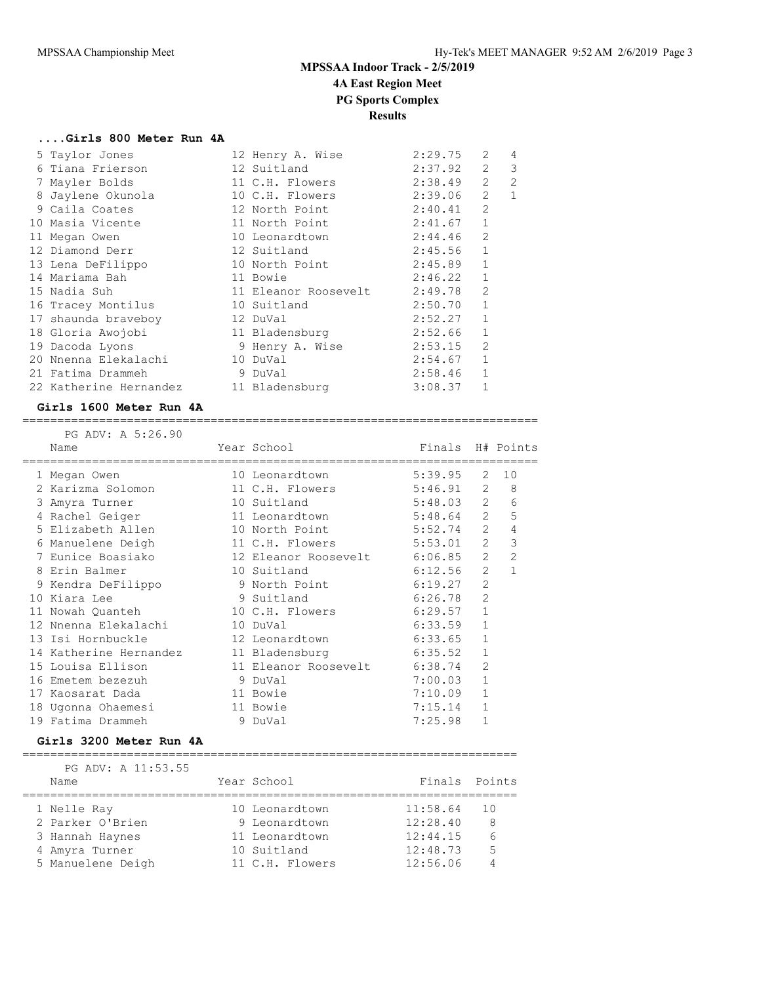### **....Girls 800 Meter Run 4A**

| 5 Taylor Jones                        | 12 Henry A. Wise     | 2:29.75 | $\mathcal{L}$  | 4              |
|---------------------------------------|----------------------|---------|----------------|----------------|
| 6 Tiana Frierson                      | 12 Suitland          | 2:37.92 | $\overline{2}$ | 3              |
| 7 Mayler Bolds                        | 11 C.H. Flowers      | 2:38.49 | $\overline{2}$ | $\overline{2}$ |
| 8 Jaylene Okunola                     | 10 C.H. Flowers      | 2:39.06 | 2              | $\mathbf{1}$   |
| 9 Caila Coates                        | 12 North Point       | 2:40.41 | $\mathfrak{L}$ |                |
| 10 Masia Vicente                      | 11 North Point       | 2:41.67 | $\mathbf{1}$   |                |
| 11 Megan Owen                         | 10 Leonardtown       | 2:44.46 | 2              |                |
| 12 Diamond Derr                       | 12 Suitland          | 2:45.56 | $\mathbf{1}$   |                |
| 13 Lena DeFilippo                     | 10 North Point       | 2:45.89 | $\mathbf{1}$   |                |
| 14 Mariama Bah                        | 11 Bowie             | 2:46.22 | $\mathbf{1}$   |                |
| 15 Nadia Suh                          | 11 Eleanor Roosevelt | 2:49.78 | $\overline{2}$ |                |
| 16 Tracey Montilus                    | 10 Suitland          | 2:50.70 | $\mathbf{1}$   |                |
| 17 shaunda braveboy                   | 12 DuVal             | 2:52.27 | $\mathbf{1}$   |                |
| 18 Gloria Awojobi                     | 11 Bladensburg       | 2:52.66 | $\mathbf{1}$   |                |
| 19 Dacoda Lyons                       | 9 Henry A. Wise      | 2:53.15 | $\overline{2}$ |                |
| 20 Nnenna Elekalachi                  | 10 DuVal             | 2:54.67 | $\mathbf{1}$   |                |
| 21 Fatima Drammeh                     | 9 DuVal              | 2:58.46 | $\mathbf{1}$   |                |
| 22 Katherine Hernandez 11 Bladensburg |                      | 3:08.37 | $\mathbf{1}$   |                |

#### **Girls 1600 Meter Run 4A**

==========================================================================

| PG ADV: A 5:26.90      |                                                                                                                        |                  |                |                |
|------------------------|------------------------------------------------------------------------------------------------------------------------|------------------|----------------|----------------|
| Name                   | Year School in the School and the School and the School and the School and the School and the School<br>-------------- | Finals H# Points |                |                |
| 1 Megan Owen           | 10 Leonardtown                                                                                                         | 5:39.95          | 2              | 10             |
| 2 Karizma Solomon      | 11 C.H. Flowers 5:46.91 2                                                                                              |                  |                | 8              |
| 3 Amyra Turner         | 10 Suitland                                                                                                            | $5:48.03$ 2      |                | 6              |
| 4 Rachel Geiger        | 11 Leonardtown                                                                                                         | 5:48.64          | 2              | 5              |
| 5 Elizabeth Allen      | 10 North Point                                                                                                         | 5:52.74          | $\overline{2}$ | 4              |
| 6 Manuelene Deigh      | 11 C.H. Flowers 5:53.01 2                                                                                              |                  |                | 3              |
| 7 Eunice Boasiako      | 12 Eleanor Roosevelt 6:06.85                                                                                           |                  | 2              | $\overline{2}$ |
| 8 Erin Balmer          | 10 Suitland                                                                                                            | 6:12.56          | $\overline{2}$ | $\mathbf{1}$   |
| 9 Kendra DeFilippo     | 9 North Point                                                                                                          | 6:19.27          | $\overline{2}$ |                |
| 10 Kiara Lee           | 9 Suitland                                                                                                             | 6:26.78          | $\overline{2}$ |                |
| 11 Nowah Ouanteh       | 10 C.H. Flowers                                                                                                        | 6:29.57          | $\mathbf{1}$   |                |
| 12 Nnenna Elekalachi   | 10 DuVal                                                                                                               | 6:33.59          | $\mathbf{1}$   |                |
| 13 Isi Hornbuckle      | 12 Leonardtown                                                                                                         | 6:33.65          | $\mathbf{1}$   |                |
| 14 Katherine Hernandez | 11 Bladensburg                                                                                                         | 6:35.52          | $\mathbf{1}$   |                |
| 15 Louisa Ellison      | 11 Eleanor Roosevelt 6:38.74                                                                                           |                  | $\overline{2}$ |                |
| 16 Emetem bezezuh      | 9 DuVal                                                                                                                | 7:00.03          | $\mathbf{1}$   |                |
| 17 Kaosarat Dada       | 11 Bowie                                                                                                               | 7:10.09          | $\mathbf{1}$   |                |
| 18 Ugonna Ohaemesi     | 11 Bowie                                                                                                               | 7:15.14          | $\mathbf{1}$   |                |
| 19 Fatima Drammeh      | 9 DuVal                                                                                                                | 7:25.98          | $\mathbf{1}$   |                |

### **Girls 3200 Meter Run 4A**

 PG ADV: A 11:53.55 Name Year School Finals Points ======================================================================= 1 Nelle Ray 10 Leonardtown 11:58.64 10 2 Parker O'Brien 9 Leonardtown 12:28.40 8

 3 Hannah Haynes 11 Leonardtown 12:44.15 6 4 Amyra Turner 10 Suitland 12:48.73 5 5 Manuelene Deigh 11 C.H. Flowers 12:56.06 4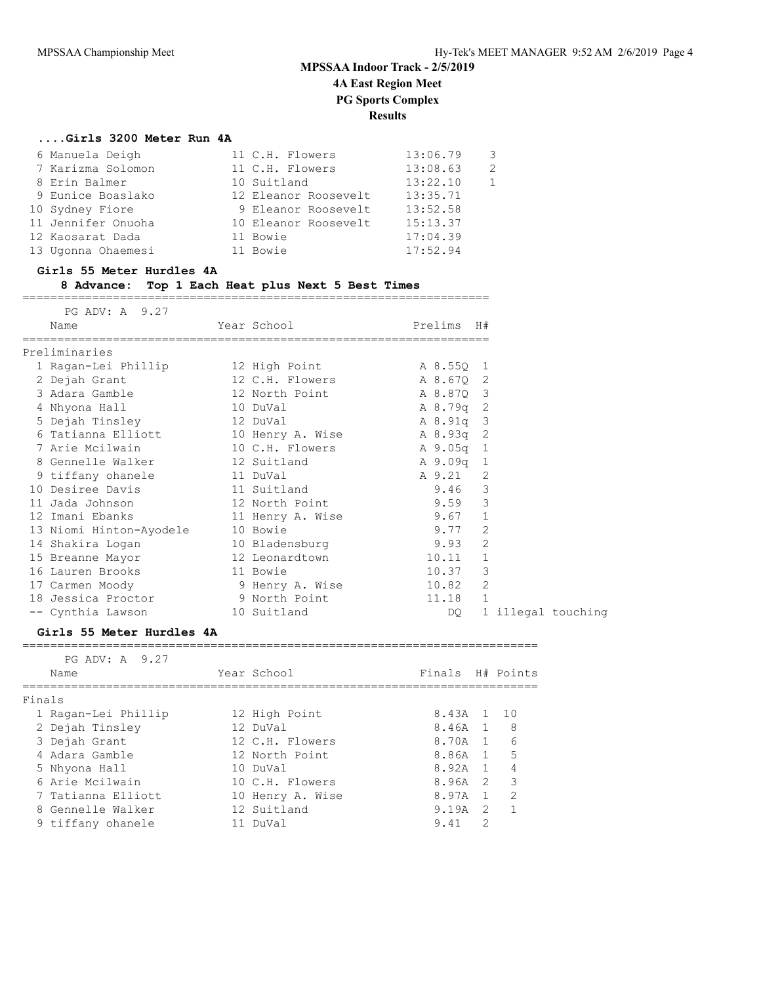### **....Girls 3200 Meter Run 4A**

|                                                                                                                                                               | 13:06.79                                                                                                                                         | 3             |
|---------------------------------------------------------------------------------------------------------------------------------------------------------------|--------------------------------------------------------------------------------------------------------------------------------------------------|---------------|
|                                                                                                                                                               | 13:08.63                                                                                                                                         | $\mathcal{P}$ |
|                                                                                                                                                               | 13:22.10                                                                                                                                         |               |
|                                                                                                                                                               | 13:35.71                                                                                                                                         |               |
|                                                                                                                                                               | 13:52.58                                                                                                                                         |               |
|                                                                                                                                                               | 15:13.37                                                                                                                                         |               |
|                                                                                                                                                               | 17:04.39                                                                                                                                         |               |
|                                                                                                                                                               | 17:52.94                                                                                                                                         |               |
| 6 Manuela Deigh<br>7 Karizma Solomon<br>8 Erin Balmer<br>9 Eunice Boaslako<br>10 Sydney Fiore<br>11 Jennifer Onuoha<br>12 Kaosarat Dada<br>13 Ugonna Ohaemesi | 11 C.H. Flowers<br>11 C.H. Flowers<br>10 Suitland<br>12 Eleanor Roosevelt<br>9 Eleanor Roosevelt<br>10 Eleanor Roosevelt<br>11 Bowie<br>11 Bowie |               |

#### **Girls 55 Meter Hurdles 4A**

### **8 Advance: Top 1 Each Heat plus Next 5 Best Times**

===================================================================

| PG ADV: A 9.27                                  |          |                           |            |              |                    |  |
|-------------------------------------------------|----------|---------------------------|------------|--------------|--------------------|--|
| Name                                            |          | Year School               | Prelims H# |              |                    |  |
| Preliminaries                                   |          |                           |            |              |                    |  |
| 1 Ragan-Lei Phillip               12 High Point |          |                           | A 8.55Q 1  |              |                    |  |
| 2 Dejah Grant                                   |          | 12 C.H. Flowers A 8.670 2 |            |              |                    |  |
| 3 Adara Gamble                                  |          | 12 North Point            | A 8.87Q 3  |              |                    |  |
| 4 Nhyona Hall 10 DuVal                          |          |                           | A 8.79q 2  |              |                    |  |
| 5 Dejah Tinsley 12 DuVal                        |          |                           | A 8.91q 3  |              |                    |  |
| 6 Tatianna Elliott 10 Henry A. Wise A 8.93q 2   |          |                           |            |              |                    |  |
|                                                 |          |                           |            |              |                    |  |
| 8 Gennelle Walker 12 Suitland                   |          |                           | A 9.09q 1  |              |                    |  |
| 9 tiffany ohanele 11 DuVal                      |          |                           | A 9.21 2   |              |                    |  |
| 10 Desiree Davis 11 Suitland                    |          |                           | 9.46 3     |              |                    |  |
| 11 Jada Johnson                                 |          | 12 North Point            | $9.59$ 3   |              |                    |  |
| 12 Imani Ebanks                                 |          | 11 Henry A. Wise          | $9.67$ 1   |              |                    |  |
| 13 Niomi Hinton-Ayodele 10 Bowie                |          |                           | 9.77 2     |              |                    |  |
| 14 Shakira Logan 10 Bladensburg                 |          |                           | 9.93 2     |              |                    |  |
| 15 Breanne Mayor                                |          | 12 Leonardtown            | 10.11      | $\mathbf{1}$ |                    |  |
| 16 Lauren Brooks                                | 11 Bowie |                           | 10.37      | 3            |                    |  |
| 17 Carmen Moody                                 |          | 9 Henry A. Wise           | 10.82      | 2            |                    |  |
| 18 Jessica Proctor                              |          | 9 North Point             | 11.18 1    |              |                    |  |
| -- Cynthia Lawson 10 Suitland                   |          |                           | DQ —       |              | 1 illegal touching |  |

### **Girls 55 Meter Hurdles 4A**

| PG ADV: A 9.27 |                                                                                                                                                                                         |                                                                                                                                                               |               |                                                                                                                                      |
|----------------|-----------------------------------------------------------------------------------------------------------------------------------------------------------------------------------------|---------------------------------------------------------------------------------------------------------------------------------------------------------------|---------------|--------------------------------------------------------------------------------------------------------------------------------------|
| Name           |                                                                                                                                                                                         |                                                                                                                                                               |               |                                                                                                                                      |
|                |                                                                                                                                                                                         |                                                                                                                                                               |               |                                                                                                                                      |
|                |                                                                                                                                                                                         |                                                                                                                                                               |               |                                                                                                                                      |
|                |                                                                                                                                                                                         |                                                                                                                                                               |               |                                                                                                                                      |
|                |                                                                                                                                                                                         |                                                                                                                                                               |               |                                                                                                                                      |
|                |                                                                                                                                                                                         |                                                                                                                                                               |               |                                                                                                                                      |
|                |                                                                                                                                                                                         |                                                                                                                                                               |               | $\overline{4}$                                                                                                                       |
|                |                                                                                                                                                                                         |                                                                                                                                                               |               | $\overline{\phantom{a}}$                                                                                                             |
|                |                                                                                                                                                                                         |                                                                                                                                                               |               | $\mathcal{L}$                                                                                                                        |
|                |                                                                                                                                                                                         |                                                                                                                                                               |               |                                                                                                                                      |
|                |                                                                                                                                                                                         | 9.41                                                                                                                                                          | $\mathcal{L}$ |                                                                                                                                      |
|                | Finals<br>1 Ragan-Lei Phillip<br>2 Dejah Tinsley<br>3 Dejah Grant<br>4 Adara Gamble<br>5 Nhyona Hall<br>6 Arie Mcilwain<br>7 Tatianna Elliott<br>8 Gennelle Walker<br>9 tiffany ohanele | Year School<br>12 High Point<br>12 DuVal<br>12 C.H. Flowers<br>12 North Point<br>$10$ DuVal<br>10 C.H. Flowers<br>10 Henry A. Wise<br>12 Suitland<br>11 DuVal |               | Finals H# Points<br>8.43A 1 10<br>8,46A 1 8<br>8,70A 1 6<br>8.86A 1 5<br>8.92A 1<br>8.96A <sub>2</sub><br>8.97A 1<br>$9.19A \quad 2$ |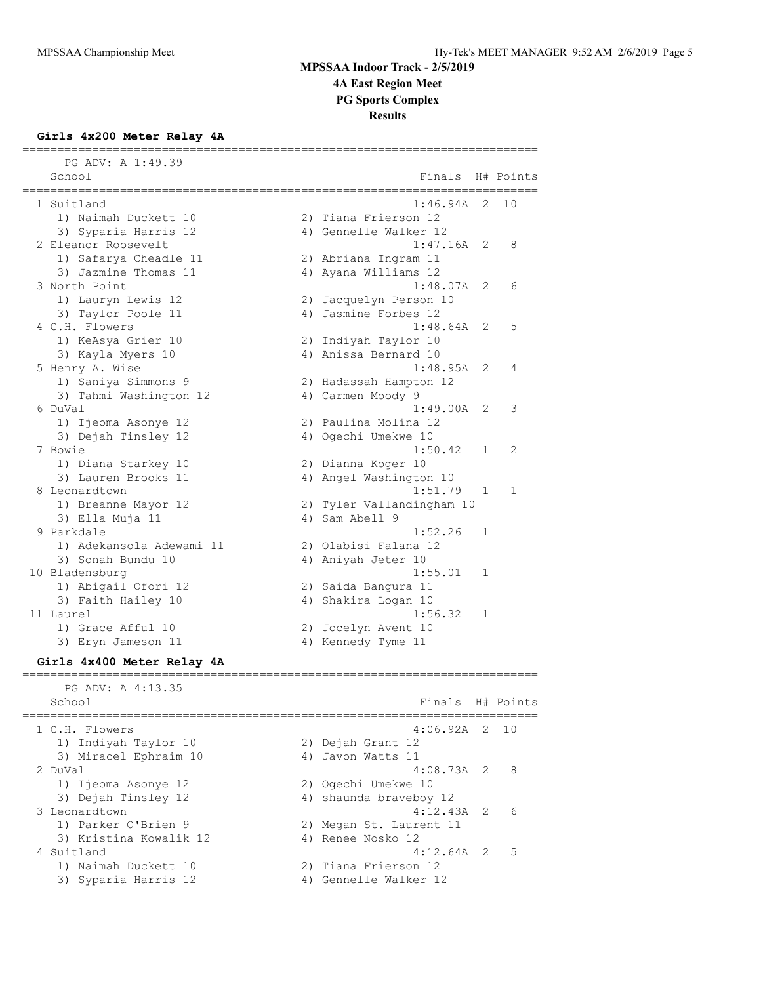## **Girls 4x200 Meter Relay 4A**

| PG ADV: A 1:49.39                                                |                                |    |           |
|------------------------------------------------------------------|--------------------------------|----|-----------|
| School                                                           | Finals                         |    | H# Points |
| ========<br>1 Suitland                                           | 1:46.94A                       | 2  | 10        |
| 1) Naimah Duckett 10                                             | 2) Tiana Frierson 12           |    |           |
| 3) Syparia Harris 12                                             | 4) Gennelle Walker 12          |    |           |
| 2 Eleanor Roosevelt                                              | 1:47.16A                       | 2  | 8         |
| 1) Safarya Cheadle 11                                            | 2) Abriana Ingram 11           |    |           |
| 3) Jazmine Thomas 11                                             | 4) Ayana Williams 12           |    |           |
| 3 North Point                                                    | 1:48.07A                       | 2  | 6         |
| 1) Lauryn Lewis 12                                               | 2) Jacquelyn Person 10         |    |           |
| 3) Taylor Poole 11                                               | 4) Jasmine Forbes 12           |    |           |
| 4 C.H. Flowers                                                   | 1:48.64A                       | 2  | 5         |
| 1) KeAsya Grier 10                                               | 2) Indiyah Taylor 10           |    |           |
| 3) Kayla Myers 10                                                | 4) Anissa Bernard 10           |    |           |
| 5 Henry A. Wise                                                  | 1:48.95A                       | 2  | 4         |
| 1) Saniya Simmons 9                                              | 2) Hadassah Hampton 12         |    |           |
| 3) Tahmi Washington 12                                           | 4) Carmen Moody 9              |    |           |
| 6 DuVal                                                          | 1:49.00A                       | 2  | 3         |
| 1) Ijeoma Asonye 12                                              | 2) Paulina Molina 12           |    |           |
| 3) Dejah Tinsley 12<br>7 Bowie                                   | 4) Ogechi Umekwe 10<br>1:50.42 | 1  | 2         |
| 1) Diana Starkey 10                                              | 2) Dianna Koger 10             |    |           |
| 3) Lauren Brooks 11                                              | 4) Angel Washington 10         |    |           |
| 8 Leonardtown                                                    | 1:51.79                        | 1  | 1         |
| 1) Breanne Mayor 12                                              | 2) Tyler Vallandingham 10      |    |           |
| 3) Ella Muja 11                                                  | 4) Sam Abell 9                 |    |           |
| 9 Parkdale                                                       | 1:52.26                        | 1  |           |
| 1) Adekansola Adewami 11                                         | 2) Olabisi Falana 12           |    |           |
| 3) Sonah Bundu 10                                                | 4) Aniyah Jeter 10             |    |           |
| 10 Bladensburg                                                   | 1:55.01                        | 1  |           |
| 1) Abigail Ofori 12                                              | 2) Saida Bangura 11            |    |           |
| 3) Faith Hailey 10                                               | 4) Shakira Logan 10            |    |           |
| 11 Laurel                                                        | 1:56.32                        | 1  |           |
| 1) Grace Afful 10                                                | 2) Jocelyn Avent 10            |    |           |
| 3) Eryn Jameson 11                                               | 4) Kennedy Tyme 11             |    |           |
| Girls 4x400 Meter Relay 4A<br>---------------------------------- |                                |    |           |
| PG ADV: A 4:13.35                                                |                                |    |           |
| School                                                           | Finals H# Points               |    |           |
| 1 C.H. Flowers                                                   | 4:06.92A                       | 2. | 10        |
| 1) Indiyah Taylor 10                                             | 2) Dejah Grant 12              |    |           |
| 3) Miracel Ephraim 10                                            | 4) Javon Watts 11              |    |           |
| 2 DuVal                                                          | $4:08.73A$ 2                   |    | 8         |
| 1) Ijeoma Asonye 12                                              | 2) Ogechi Umekwe 10            |    |           |
| 3) Dejah Tinsley 12                                              | 4) shaunda braveboy 12         |    |           |
| 3 Leonardtown                                                    | 4:12.43A                       | 2  | 6         |
| 1) Parker O'Brien 9                                              | 2) Megan St. Laurent 11        |    |           |
| 3) Kristina Kowalik 12                                           | 4) Renee Nosko 12              |    |           |
| 4 Suitland                                                       | 4:12.64A                       | -2 | 5         |
| 1) Naimah Duckett 10                                             | 2) Tiana Frierson 12           |    |           |

3) Syparia Harris 12 4) Gennelle Walker 12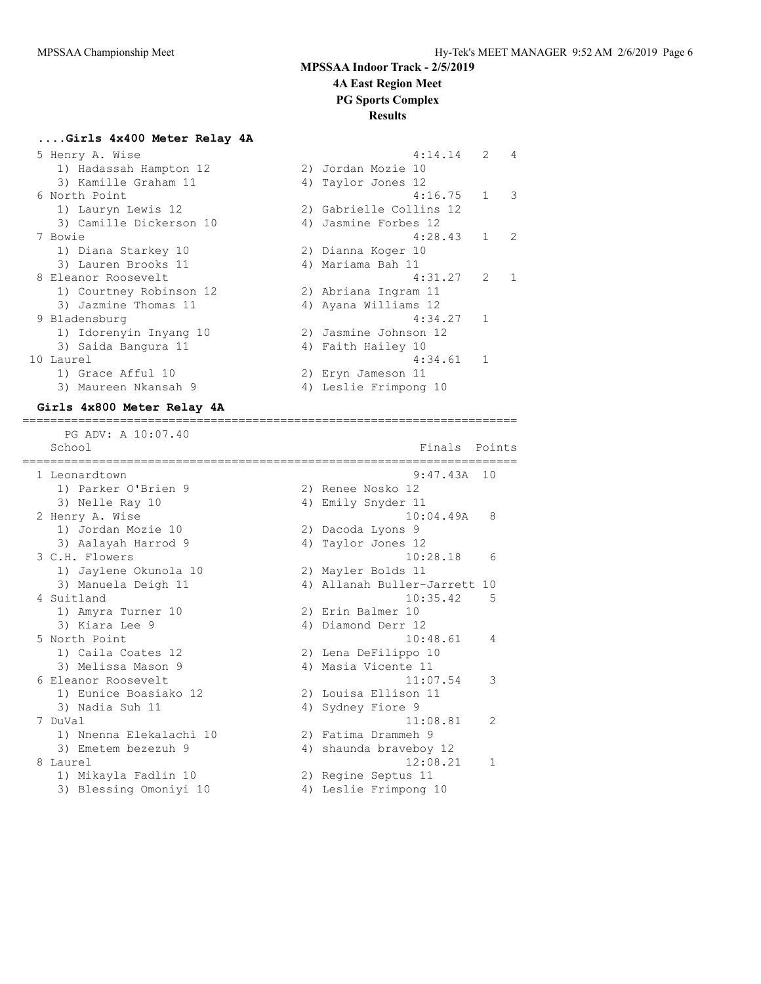## **....Girls 4x400 Meter Relay 4A**

| 5 Henry A. Wise         | 4:14.14                 | $\mathcal{L}$  | $\overline{4}$ |
|-------------------------|-------------------------|----------------|----------------|
| 1) Hadassah Hampton 12  | 2) Jordan Mozie 10      |                |                |
| 3) Kamille Graham 11    | 4) Taylor Jones 12      |                |                |
| 6 North Point           | 4:16.75                 | $\mathbf{1}$   | 3              |
| 1) Lauryn Lewis 12      | 2) Gabrielle Collins 12 |                |                |
| 3) Camille Dickerson 10 | 4) Jasmine Forbes 12    |                |                |
| 7 Bowie                 | 4:28.43                 | $\mathbf{1}$   | $\overline{2}$ |
| 1) Diana Starkey 10     | 2) Dianna Koger 10      |                |                |
| 3) Lauren Brooks 11     | 4) Mariama Bah 11       |                |                |
| 8 Eleanor Roosevelt     | 4:31.27                 | 2              | $\mathbf{1}$   |
| 1) Courtney Robinson 12 | 2) Abriana Ingram 11    |                |                |
| 3) Jazmine Thomas 11    | 4) Ayana Williams 12    |                |                |
| 9 Bladensburg           | 4:34.27                 | $\mathbf{1}$   |                |
| 1) Idorenyin Inyang 10  | 2) Jasmine Johnson 12   |                |                |
| 3) Saida Bangura 11     | 4) Faith Hailey 10      |                |                |
| 10 Laurel               | 4:34.61                 | $\overline{1}$ |                |
| 1) Grace Afful 10       | 2) Eryn Jameson 11      |                |                |
| 3) Maureen Nkansah 9    | 4) Leslie Frimpong 10   |                |                |

 3) Maureen Nkansah 9 4) Leslie Frimpong 10 **Girls 4x800 Meter Relay 4A** ======================================================================= PG ADV: A 10:07.40 School Finals Points Assembly Points Points Points Points Points Points Points Points Points Points Points Points Points Points Points Points Points Points Points Points Points Points Points Points Points Points Points Poi ======================================================================= 1 Leonardtown 9:47.43A 10 1) Parker O'Brien 9 2) Renee Nosko 12 3) Nelle Ray 10 4) Emily Snyder 11 2 Henry A. Wise 10:04.49A 8 1) Jordan Mozie 10 2) Dacoda Lyons 9 3) Aalayah Harrod 9  $\hskip1cm$  4) Taylor Jones 12 3 C.H. Flowers 10:28.18 6 1) Jaylene Okunola 10 2) Mayler Bolds 11 3) Manuela Deigh 11 4) Allanah Buller-Jarrett 10 4 Suitland 10:35.42 5 1) Amyra Turner 10 2) Erin Balmer 10 3) Kiara Lee 9 4) Diamond Derr 12 5 North Point 10:48.61 4 1) Caila Coates 12 2) Lena DeFilippo 10 3) Melissa Mason 9 4) Masia Vicente 11 6 Eleanor Roosevelt 11:07.54 3 1) Eunice Boasiako 12 2) Louisa Ellison 11 3) Nadia Suh 11 4) Sydney Fiore 9 7 DuVal 11:08.81 2 1) Nnenna Elekalachi 10 2) Fatima Drammeh 9 3) Emetem bezezuh 9 4) shaunda braveboy 12 8 Laurel 12:08.21 1 1) Mikayla Fadlin 10 2) Regine Septus 11 3) Blessing Omoniyi 10 4) Leslie Frimpong 10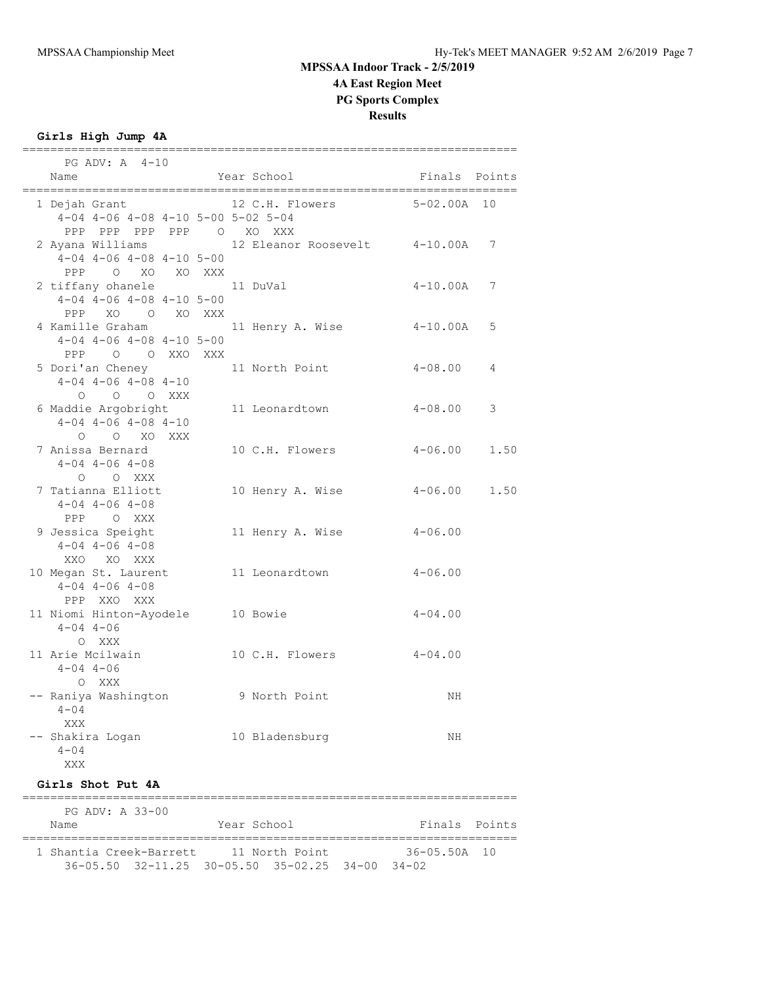**Girls High Jump 4A**

| $PG$ ADV: $A$ 4-10<br>Name                                                                                |  | Year School                                                                        | Finals Points |      |
|-----------------------------------------------------------------------------------------------------------|--|------------------------------------------------------------------------------------|---------------|------|
|                                                                                                           |  |                                                                                    |               |      |
| 1 Dejah Grant<br>$4-04$ $4-06$ $4-08$ $4-10$ $5-00$ $5-02$ $5-04$<br>PPP PPP PPP PPP 0 XO XXX             |  | 12 C.H. Flowers                                                                    | $5-02.00A$ 10 |      |
| 2 Ayana Williams 12 Eleanor Roosevelt 4-10.00A 7<br>$4-04$ $4-06$ $4-08$ $4-10$ $5-00$<br>PPP O XO XO XXX |  |                                                                                    |               |      |
| 2 tiffany ohanele 11 DuVal<br>$4-04$ $4-06$ $4-08$ $4-10$ $5-00$                                          |  |                                                                                    | $4-10.00A$ 7  |      |
| PPP XO O XO XXX<br>4 Kamille Graham<br>$4-04$ $4-06$ $4-08$ $4-10$ $5-00$<br>PPP 0 0 XXO XXX              |  | 11 Henry A. Wise 4-10.00A                                                          |               | 5    |
| 5 Dori'an Cheney 11 North Point<br>$4-04$ $4-06$ $4-08$ $4-10$                                            |  |                                                                                    | $4 - 08$ .00  | 4    |
| 0 0 0 XXX<br>6 Maddie Argobright 11 Leonardtown<br>$4-04$ $4-06$ $4-08$ $4-10$<br>O O XO XXX              |  |                                                                                    | $4 - 08.00$   | 3    |
| 7 Anissa Bernard<br>$4 - 04$ $4 - 06$ $4 - 08$<br>O O XXX                                                 |  | 10 C.H. Flowers 4-06.00                                                            |               | 1.50 |
| 7 Tatianna Elliott<br>$4 - 04$ $4 - 06$ $4 - 08$<br>PPP OXXX                                              |  | 10 Henry A. Wise 4-06.00 1.50                                                      |               |      |
| 9 Jessica Speight<br>$4-04$ $4-06$ $4-08$<br>XXO XO XXX                                                   |  | 11 Henry A. Wise                                                                   | $4 - 06.00$   |      |
| 10 Megan St. Laurent 11 Leonardtown<br>$4 - 04$ $4 - 06$ $4 - 08$<br>PPP XXO XXX                          |  |                                                                                    | $4 - 06.00$   |      |
| 11 Niomi Hinton-Ayodele 10 Bowie<br>$4 - 04$ $4 - 06$<br>O XXX                                            |  |                                                                                    | $4 - 04$ .00  |      |
| 11 Arie Mcilwain<br>$4 - 04$ $4 - 06$<br>O XXX                                                            |  | 10 C.H. Flowers 4-04.00                                                            |               |      |
| -- Raniya Washington<br>$4 - 04$<br>XXX                                                                   |  | 9 North Point                                                                      | ΝH            |      |
| -- Shakira Logan<br>$4 - 04$<br>XXX                                                                       |  | 10 Bladensburg                                                                     | ΝH            |      |
| Girls Shot Put 4A<br>===========================                                                          |  |                                                                                    |               |      |
| PG ADV: A 33-00<br>Name                                                                                   |  | Year School                                                                        | Finals Points |      |
| 1 Shantia Creek-Barrett 11 North Point                                                                    |  | ;==============================<br>36-05.50 32-11.25 30-05.50 35-02.25 34-00 34-02 | 36-05.50A     | 10   |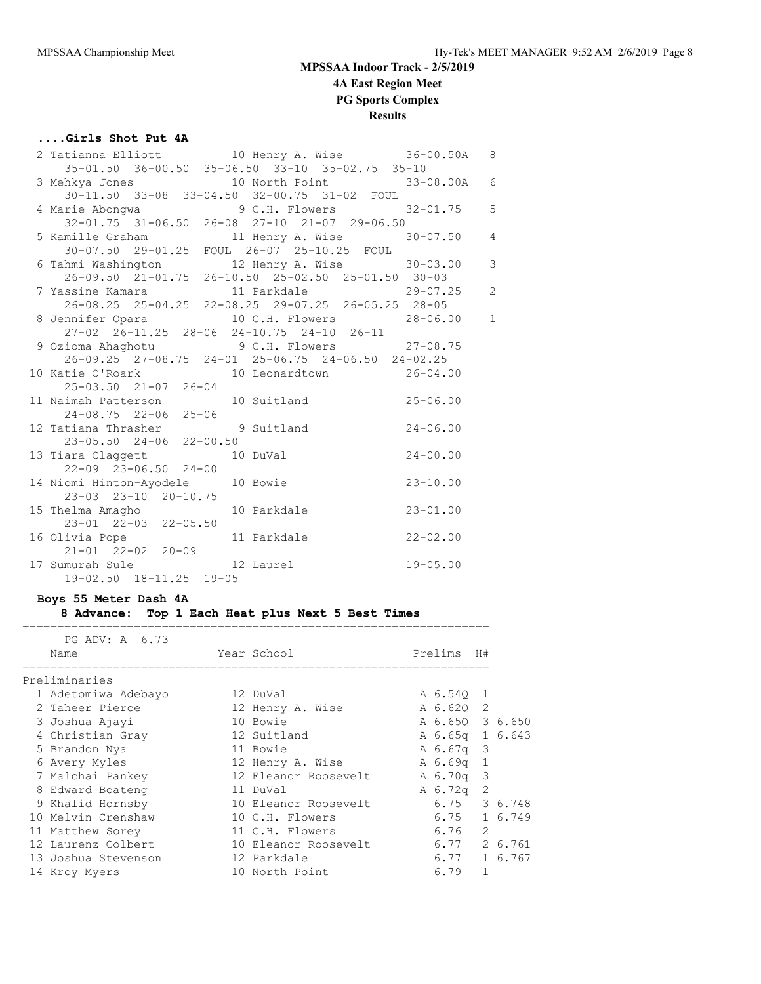## **....Girls Shot Put 4A**

|                                  | 2 Tatianna Elliott 10 Henry A. Wise 36-00.50A 8                                                                                  |  |
|----------------------------------|----------------------------------------------------------------------------------------------------------------------------------|--|
|                                  | 35-01.50 36-00.50 35-06.50 33-10 35-02.75 35-10                                                                                  |  |
|                                  |                                                                                                                                  |  |
|                                  | 3 Mehkya Jones<br>30-11.50 33-08 33-04.50 32-00.75 31-02 FOUL<br>4 Marie Abongwa<br>32-01.75 31-06.50 26-08 27-10 21-07 29-06.50 |  |
|                                  |                                                                                                                                  |  |
|                                  |                                                                                                                                  |  |
|                                  | 5 Kamille Graham 11 Henry A. Wise 30-07.50 4<br>30-07.50 29-01.25 FOUL 26-07 25-10.25 FOUL                                       |  |
|                                  |                                                                                                                                  |  |
|                                  | 6 Tahmi Washington<br>26-09.50 21-01.75 26-10.50 25-02.50 25-01.50 30-03                                                         |  |
|                                  |                                                                                                                                  |  |
|                                  |                                                                                                                                  |  |
|                                  | 26-08.25 25-04.25 22-08.25 29-07.25 26-05.25 28-05                                                                               |  |
|                                  | 8 Jennifer Opara 10 C.H. Flowers 28-06.00 1                                                                                      |  |
|                                  | 27-02 26-11.25 28-06 24-10.75 24-10 26-11                                                                                        |  |
|                                  | 9 Ozioma Ahaghotu 9 C.H. Flowers 27-08.75<br>26-09.25 27-08.75 24-01 25-06.75 24-06.50 24-02.25                                  |  |
|                                  |                                                                                                                                  |  |
|                                  | 10 Katie O'Roark 10 Leonardtown 26-04.00                                                                                         |  |
|                                  | 25-03.50 21-07 26-04<br>11 Naimah Patterson 10 Suitland 25-06.00                                                                 |  |
|                                  |                                                                                                                                  |  |
|                                  | 24-08.75 22-06 25-06<br>23-05.50 24-06 22-00.50<br>23-05.50 24-06 22-00.50                                                       |  |
|                                  |                                                                                                                                  |  |
|                                  |                                                                                                                                  |  |
|                                  | 13 Tiara Claggett 10 DuVal 24-00.00                                                                                              |  |
| $22 - 09$ $23 - 06.50$ $24 - 00$ |                                                                                                                                  |  |
|                                  | 14 Niomi Hinton-Ayodele 10 Bowie 23-10.00                                                                                        |  |
| 23-03 23-10 20-10.75             |                                                                                                                                  |  |
|                                  | 15 Thelma Amagho 10 Parkdale 23-01.00                                                                                            |  |
| 23-01 22-03 22-05.50             |                                                                                                                                  |  |
| 16 Olivia Pope                   | 11 Parkdale 22-02.00                                                                                                             |  |
| $21 - 01$ $22 - 02$ $20 - 09$    |                                                                                                                                  |  |
|                                  | 17 Sumurah Sule 12 Laurel 19-05.00<br>19-02.50 18-11.25 19-05                                                                    |  |
| 19-02.50 18-11.25 19-05          |                                                                                                                                  |  |

### **Boys 55 Meter Dash 4A**

**8 Advance: Top 1 Each Heat plus Next 5 Best Times**

| PG ADV: A 6.73      |                      |                 |    |         |
|---------------------|----------------------|-----------------|----|---------|
| Name                | Year School          | Prelims         | H# |         |
| Preliminaries       |                      |                 |    |         |
| 1 Adetomiwa Adebayo | 12 DuVal             | A 6.540 1       |    |         |
| 2 Taheer Pierce     | 12 Henry A. Wise     | A 6.62Q 2       |    |         |
| 3 Joshua Ajayi      | 10 Bowie             | A 6.65Q 3 6.650 |    |         |
| 4 Christian Gray    | 12 Suitland          | A 6.65q 1 6.643 |    |         |
| 5 Brandon Nya       | 11 Bowie             | A 6.67q 3       |    |         |
| 6 Avery Myles       | 12 Henry A. Wise     | A 6.69q 1       |    |         |
| 7 Malchai Pankey    | 12 Eleanor Roosevelt | A 6.70q 3       |    |         |
| 8 Edward Boateng    | 11 DuVal             | A 6.72q         | 2  |         |
| 9 Khalid Hornsby    | 10 Eleanor Roosevelt | 6.75            |    | 3 6.748 |
| 10 Melvin Crenshaw  | 10 C.H. Flowers      | 6.75            |    | 1 6.749 |
| 11 Matthew Sorey    | 11 C.H. Flowers      | 6.76            | 2  |         |
| 12 Laurenz Colbert  | 10 Eleanor Roosevelt | 6.77            |    | 2 6.761 |
| 13 Joshua Stevenson | 12 Parkdale          | 6.77            |    | 1 6.767 |
| 14 Kroy Myers       | 10 North Point       | 6.79            | 1  |         |
|                     |                      |                 |    |         |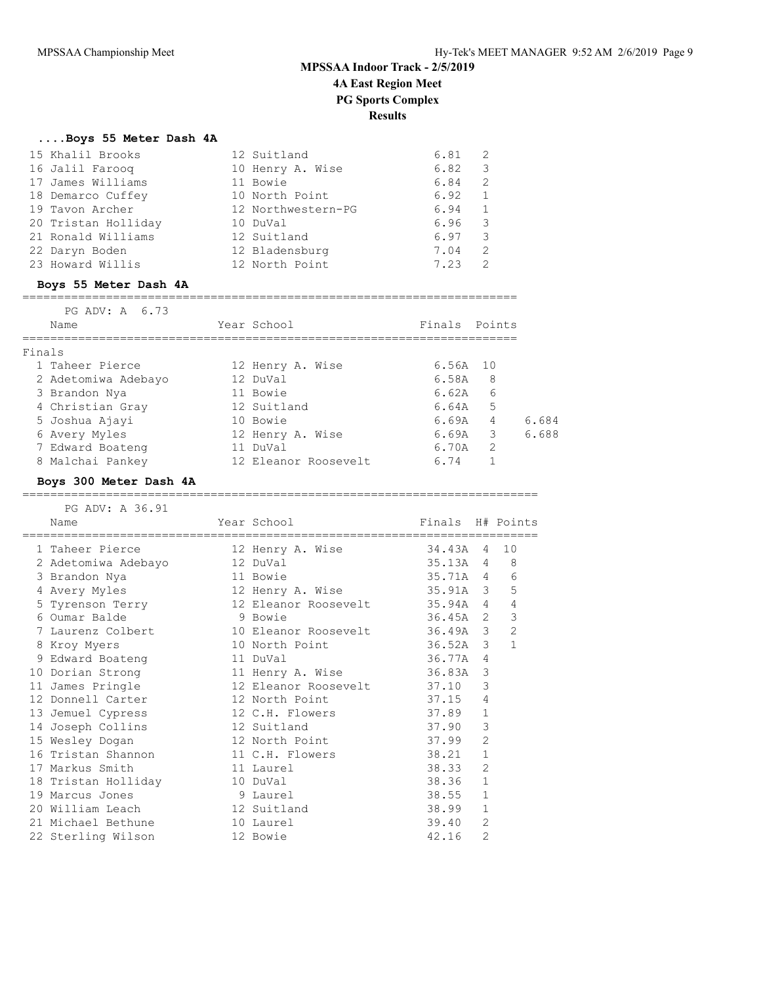## **....Boys 55 Meter Dash 4A**

| 15 Khalil Brooks    | 12 Suitland        | 6.81 | -2            |
|---------------------|--------------------|------|---------------|
| 16 Jalil Farooq     | 10 Henry A. Wise   | 6.82 | 3             |
| 17 James Williams   | 11 Bowie           | 6.84 | 2             |
| 18 Demarco Cuffey   | 10 North Point     | 6.92 | 1             |
| 19 Tavon Archer     | 12 Northwestern-PG | 6.94 | 1             |
| 20 Tristan Holliday | 10 DuVal           | 6.96 | -3            |
| 21 Ronald Williams  | 12 Suitland        | 6.97 | 3             |
| 22 Daryn Boden      | 12 Bladensburg     | 7.04 | 2             |
| 23 Howard Willis    | 12 North Point     | 7.23 | $\mathcal{P}$ |

#### **Boys 55 Meter Dash 4A**

#### ======================================================================= PG ADV: A 6.73

| Name                | Year School          | Finals Points |   |       |
|---------------------|----------------------|---------------|---|-------|
| Finals              |                      |               |   |       |
| 1 Taheer Pierce     | 12 Henry A. Wise     | $6.56A$ 10    |   |       |
| 2 Adetomiwa Adebayo | 12 DuVal             | 6.58A         | 8 |       |
| 3 Brandon Nya       | 11 Bowie             | 6.62A         | 6 |       |
| 4 Christian Gray    | 12 Suitland          | 6.64A         | 5 |       |
| 5 Joshua Ajayi      | 10 Bowie             | 6.69A         | 4 | 6.684 |
| 6 Avery Myles       | 12 Henry A. Wise     | 6.69A         | 3 | 6.688 |
| 7 Edward Boateng    | 11 DuVal             | 6.70A         | 2 |       |
| 8 Malchai Pankey    | 12 Eleanor Roosevelt | 6.74          |   |       |
|                     |                      |               |   |       |

### **Boys 300 Meter Dash 4A**

| PG ADV: A 36.91<br>Name<br>;=================================== | Year School<br>=============================== | Finals H# Points |                |                |
|-----------------------------------------------------------------|------------------------------------------------|------------------|----------------|----------------|
| 1 Taheer Pierce                                                 | 12 Henry A. Wise                               | 34.43A           | $\overline{4}$ | 10             |
| 2 Adetomiwa Adebayo                                             | 12 DuVal                                       | 35.13A 4         |                | 8              |
| 3 Brandon Nya                                                   | 11 Bowie                                       | 35.71A 4         |                | 6              |
| 4 Avery Myles                                                   | 12 Henry A. Wise 35.91A 3                      |                  |                | 5              |
| 5 Tyrenson Terry                                                | 12 Eleanor Roosevelt                           | 35.94A 4         |                | 4              |
| 6 Oumar Balde                                                   | 9 Bowie                                        | $36.45A$ 2       |                | 3              |
| 7 Laurenz Colbert                                               | 10 Eleanor Roosevelt                           | 36.49A 3         |                | $\overline{2}$ |
| 8 Kroy Myers                                                    | 10 North Point                                 | $36.52A$ 3       |                | $\mathbf{1}$   |
| 9 Edward Boateng                                                | 11 DuVal                                       | 36.77A           | $\overline{4}$ |                |
| 10 Dorian Strong                                                | 11 Henry A. Wise                               | 36.83A           | 3              |                |
| 11 James Pringle                                                | 12 Eleanor Roosevelt                           | 37.10            | 3              |                |
| 12 Donnell Carter                                               | 12 North Point                                 | 37.15            | 4              |                |
| 13 Jemuel Cypress                                               | 12 C.H. Flowers                                | 37.89            | $\mathbf{1}$   |                |
| 14 Joseph Collins                                               | 12 Suitland                                    | 37.90            | 3              |                |
| 15 Wesley Dogan                                                 | 12 North Point                                 | 37.99            | $\overline{2}$ |                |
| 16 Tristan Shannon                                              | 11 C.H. Flowers                                | 38.21            | $\mathbf 1$    |                |
| 17 Markus Smith                                                 | 11 Laurel                                      | 38.33            | $\overline{2}$ |                |
| 18 Tristan Holliday                                             | 10 DuVal                                       | 38.36            | $\mathbf{1}$   |                |
| 19 Marcus Jones                                                 | 9 Laurel                                       | 38.55            | $\mathbf{1}$   |                |
| 20 William Leach                                                | 12 Suitland                                    | 38.99            | $\mathbf{1}$   |                |
| 21 Michael Bethune                                              | 10 Laurel                                      | 39.40            | $\mathfrak{D}$ |                |
| 22 Sterling Wilson                                              | 12 Bowie                                       | 42.16            | $\overline{2}$ |                |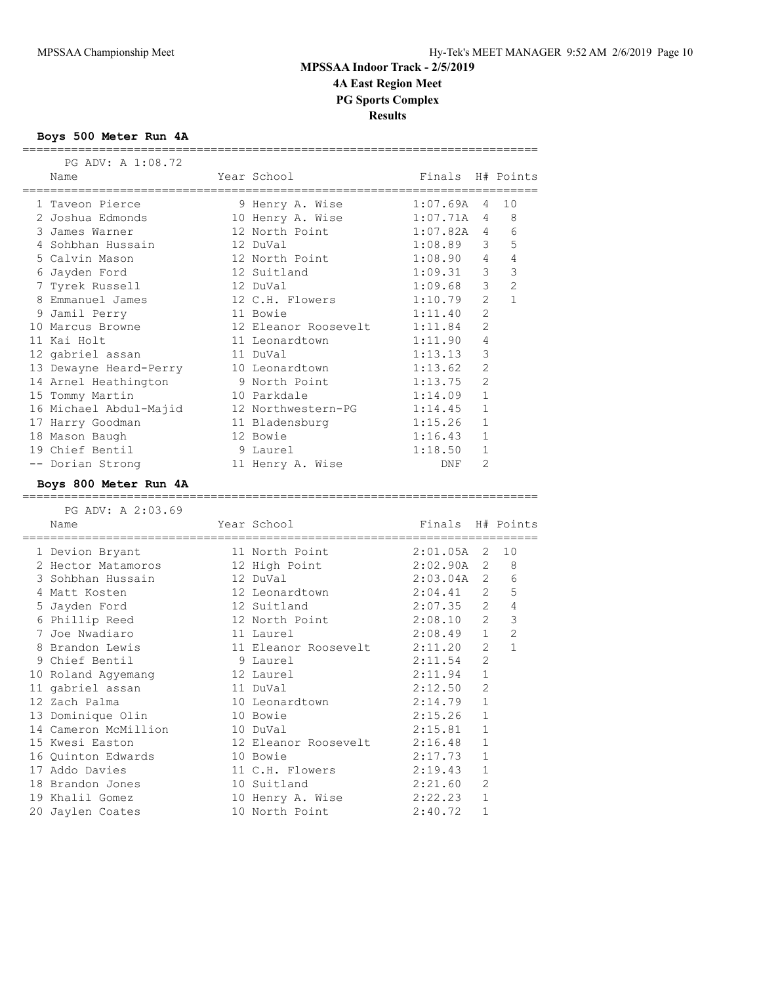#### **Boys 500 Meter Run 4A**

 PG ADV: A 1:08.72 Name The Year School Finals H# Points ========================================================================== 1 Taveon Pierce 9 Henry A. Wise 1:07.69A 4 10 2 Joshua Edmonds 10 Henry A. Wise 1:07.71A 4 8 3 James Warner 12 North Point 1:07.82A 4 6 4 Sohbhan Hussain 12 DuVal 1:08.89 3 5 5 Calvin Mason 12 North Point 1:08.90 4 4 6 Jayden Ford 12 Suitland 1:09.31 3 3 7 Tyrek Russell 12 DuVal 1:09.68 3 2 8 Emmanuel James 12 C.H. Flowers 1:10.79 2 1 9 Jamil Perry 11 Bowie 1:11.40 2 10 Marcus Browne 12 Eleanor Roosevelt 1:11.84 2 11 Kai Holt 11 Leonardtown 1:11.90 4 12 gabriel assan 11 DuVal 1:13.13 3 13 Dewayne Heard-Perry 10 Leonardtown 1:13.62 2 14 Arnel Heathington 9 North Point 1:13.75 2 15 Tommy Martin 10 Parkdale 1:14.09 1 16 Michael Abdul-Majid 12 Northwestern-PG 1:14.45 1 17 Harry Goodman 11 Bladensburg 1:15.26 1 18 Mason Baugh 12 Bowie 1:16.43 1 19 Chief Bentil 9 Laurel 1:18.50 1 -- Dorian Strong 11 Henry A. Wise DNF 2 **Boys 800 Meter Run 4A** ==========================================================================

| PG ADV: A 2:03.69                                     |                                                         |                  |                |                |
|-------------------------------------------------------|---------------------------------------------------------|------------------|----------------|----------------|
| Name                                                  | Year School                                             | Finals H# Points |                |                |
| ==================================<br>1 Devion Bryant | =====================<br>$2:01.05A$ 2<br>11 North Point |                  |                | 10             |
| 2 Hector Matamoros                                    | 12 High Point                                           | $2:02.90A$ 2     |                | 8              |
| 3 Sohbhan Hussain                                     | 12 DuVal                                                | $2:03.04A$ 2     |                | 6              |
| 4 Matt Kosten                                         | 12 Leonardtown                                          | $2:04.41$ 2      |                | 5              |
| 5 Jayden Ford                                         | 12 Suitland                                             | $2:07.35$ 2      |                | $\sqrt{4}$     |
| 6 Phillip Reed                                        | 12 North Point                                          | 2:08.10          | $2^{\circ}$    | $\mathfrak{Z}$ |
| 7 Joe Nwadiaro                                        | 11 Laurel                                               | $2:08.49$ 1      |                | $\overline{2}$ |
| 8 Brandon Lewis                                       | 11 Eleanor Roosevelt 2:11.20                            |                  | $\overline{2}$ | $\mathbf{1}$   |
| 9 Chief Bentil                                        | 9 Laurel                                                | 2:11.54          | $\overline{2}$ |                |
| 10 Roland Agyemang                                    | 12 Laurel                                               | 2:11.94          | $\mathbf{1}$   |                |
| 11 gabriel assan                                      | 11 DuVal                                                | 2:12.50          | $\overline{2}$ |                |
| 12 Zach Palma                                         | 10 Leonardtown                                          | 2:14.79          | $\mathbf{1}$   |                |
| 13 Dominique Olin                                     | 10 Bowie                                                | 2:15.26          | $\mathbf{1}$   |                |
| 14 Cameron McMillion                                  | 10 DuVal                                                | 2:15.81          | $\mathbf{1}$   |                |
| 15 Kwesi Easton                                       | 12 Eleanor Roosevelt 2:16.48                            |                  | $\mathbf{1}$   |                |
| 16 Quinton Edwards                                    | 10 Bowie                                                | 2:17.73          | $\mathbf{1}$   |                |
| 17 Addo Davies                                        | 11 C.H. Flowers 2:19.43                                 |                  | $\mathbf{1}$   |                |
| 18 Brandon Jones                                      | 10 Suitland                                             | 2:21.60          | $\overline{2}$ |                |
| 19 Khalil Gomez                                       | 10 Henry A. Wise                                        | 2:22.23          | $\mathbf{1}$   |                |
| 20 Jaylen Coates                                      | 10 North Point                                          | 2:40.72          | $\mathbf{1}$   |                |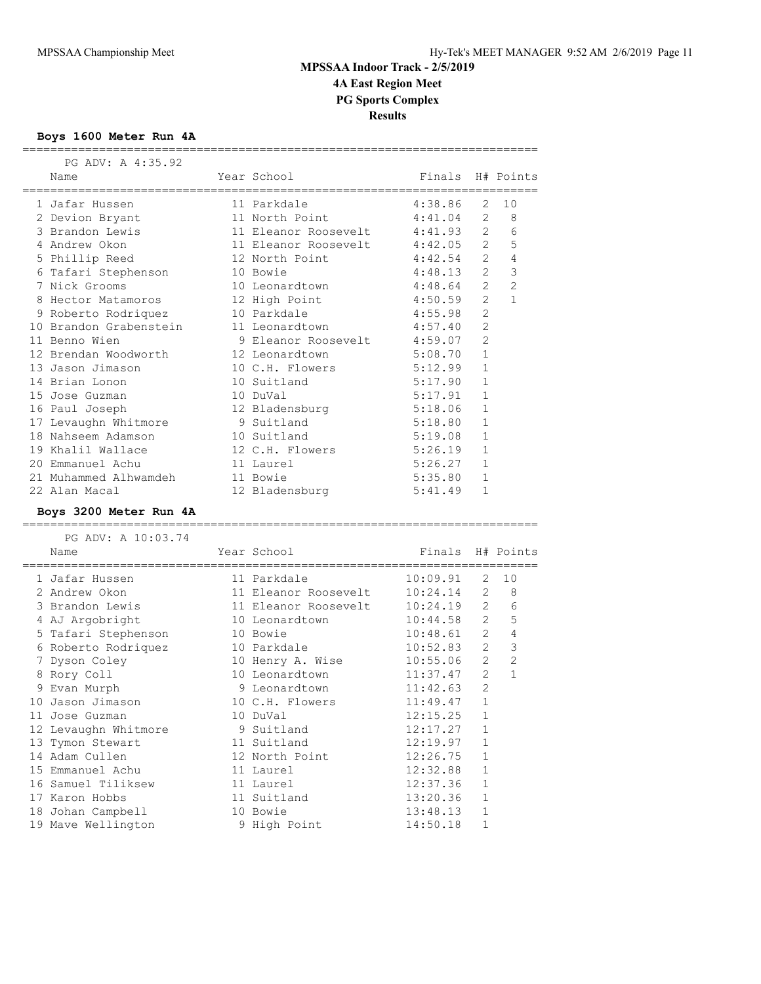## **Boys 1600 Meter Run 4A**

| PG ADVI A 4100.94<br>Name<br>====================================== | Year School<br>======================== | Finals  |                | H# Points      |
|---------------------------------------------------------------------|-----------------------------------------|---------|----------------|----------------|
| 1 Jafar Hussen                                                      | 11 Parkdale                             | 4:38.86 | 2              | 10             |
| 2 Devion Bryant                                                     | 11 North Point                          | 4:41.04 | 2              | 8              |
| 3 Brandon Lewis                                                     | 11 Eleanor Roosevelt                    | 4:41.93 | $\overline{2}$ | 6              |
| 4 Andrew Okon                                                       | 11 Eleanor Roosevelt 4:42.05            |         | $\overline{2}$ | 5              |
| 5 Phillip Reed                                                      | 12 North Point                          | 4:42.54 | $\overline{2}$ | $\overline{4}$ |
| 6 Tafari Stephenson                                                 | 10 Bowie                                | 4:48.13 | $\mathcal{L}$  | $\mathcal{S}$  |
| 7 Nick Grooms                                                       | 10 Leonardtown                          | 4:48.64 | $\overline{2}$ | $\overline{c}$ |
| 8 Hector Matamoros                                                  | 12 High Point                           | 4:50.59 | $\mathcal{L}$  | $\mathbf{1}$   |
| 9 Roberto Rodriquez                                                 | 10 Parkdale                             | 4:55.98 | $\overline{2}$ |                |
| 10 Brandon Grabenstein                                              | 11 Leonardtown                          | 4:57.40 | $\overline{2}$ |                |
| 11 Benno Wien                                                       | 9 Eleanor Roosevelt 4:59.07             |         | $\overline{2}$ |                |
| 12 Brendan Woodworth                                                | 12 Leonardtown                          | 5:08.70 | $\mathbf{1}$   |                |
| 13 Jason Jimason                                                    | 10 C.H. Flowers                         | 5:12.99 | $\mathbf{1}$   |                |
| 14 Brian Lonon                                                      | 10 Suitland                             | 5:17.90 | $\mathbf{1}$   |                |
| 15 Jose Guzman                                                      | 10 DuVal                                | 5:17.91 | $\mathbf{1}$   |                |
| 16 Paul Joseph                                                      | 12 Bladensburg                          | 5:18.06 | $\mathbf{1}$   |                |
| 17 Levaughn Whitmore                                                | 9 Suitland                              | 5:18.80 | $\mathbf{1}$   |                |
| 18 Nahseem Adamson                                                  | 10 Suitland                             | 5:19.08 | $\mathbf{1}$   |                |
| 19 Khalil Wallace                                                   | 12 C.H. Flowers                         | 5:26.19 | $\mathbf{1}$   |                |
| 20 Emmanuel Achu                                                    | 11 Laurel                               | 5:26.27 | $\mathbf{1}$   |                |
| 21 Muhammed Alhwamdeh                                               | 11 Bowie                                | 5:35.80 | $\mathbf{1}$   |                |
| 22 Alan Macal                                                       | 12 Bladensburg                          | 5:41.49 | $\mathbf{1}$   |                |
| Boys 3200 Meter Run 4A                                              |                                         |         |                |                |
| PG ADV: A 10:03.74                                                  |                                         |         |                |                |

|    | Name                 | Year School          | Finals   |                | H# Points      |
|----|----------------------|----------------------|----------|----------------|----------------|
|    | 1 Jafar Hussen       | 11 Parkdale          | 10:09.91 | 2              | 10             |
|    | 2 Andrew Okon        | 11 Eleanor Roosevelt | 10:24.14 | 2              | 8              |
|    | 3 Brandon Lewis      | 11 Eleanor Roosevelt | 10:24.19 | 2              | 6              |
|    | 4 AJ Argobright      | 10 Leonardtown       | 10:44.58 | 2              | 5              |
|    | 5 Tafari Stephenson  | 10 Bowie             | 10:48.61 | 2              | 4              |
|    | 6 Roberto Rodriquez  | 10 Parkdale          | 10:52.83 | $\overline{2}$ | 3              |
|    | 7 Dyson Coley        | 10 Henry A. Wise     | 10:55.06 | 2              | $\overline{2}$ |
|    | 8 Rory Coll          | 10 Leonardtown       | 11:37.47 | $\mathfrak{L}$ | $\mathbf{1}$   |
|    | 9 Evan Murph         | 9 Leonardtown        | 11:42.63 | $\overline{2}$ |                |
|    | 10 Jason Jimason     | 10 C.H. Flowers      | 11:49.47 | $\mathbf{1}$   |                |
|    | 11 Jose Guzman       | 10 DuVal             | 12:15.25 | 1              |                |
|    | 12 Levaughn Whitmore | 9 Suitland           | 12:17.27 | $\mathbf{1}$   |                |
|    | 13 Tymon Stewart     | 11 Suitland          | 12:19.97 | 1              |                |
|    | 14 Adam Cullen       | 12 North Point       | 12:26.75 | $\mathbf{1}$   |                |
|    | 15 Emmanuel Achu     | 11 Laurel            | 12:32.88 | $\mathbf{1}$   |                |
|    | 16 Samuel Tiliksew   | 11 Laurel            | 12:37.36 | $\mathbf 1$    |                |
| 17 | Karon Hobbs          | 11 Suitland          | 13:20.36 | 1              |                |
|    | 18 Johan Campbell    | 10 Bowie             | 13:48.13 | $\mathbf{1}$   |                |
|    | 19 Mave Wellington   | 9 High Point         | 14:50.18 | 1              |                |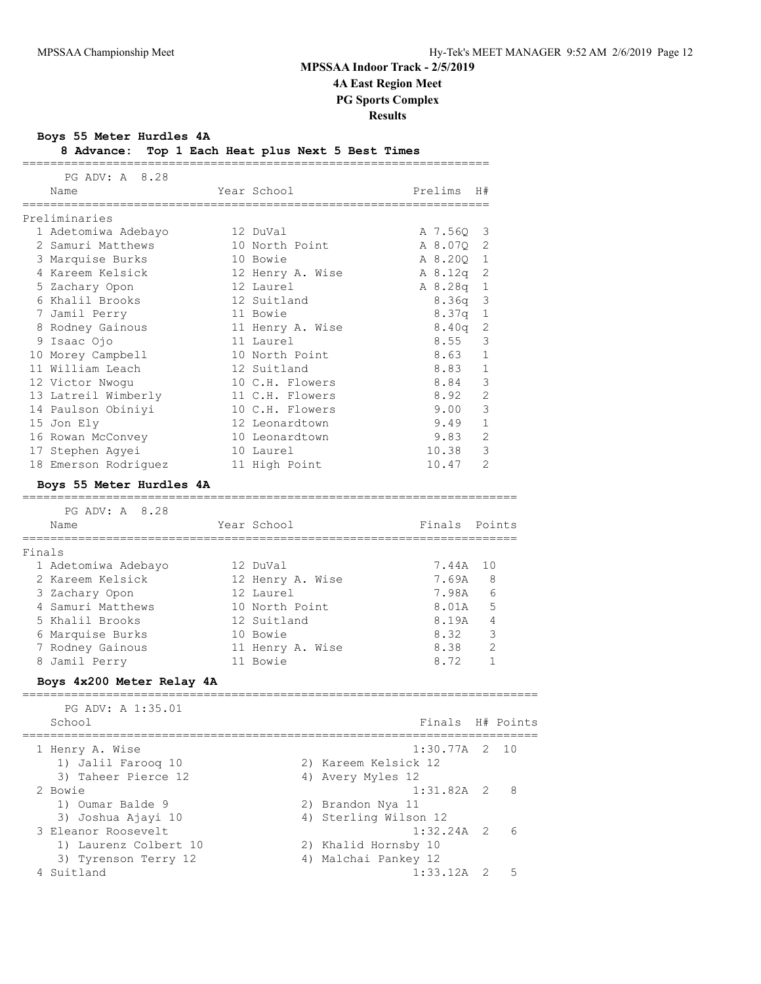**Boys 55 Meter Hurdles 4A**

| 8 Advance: Top 1 Each Heat plus Next 5 Best Times |  |  |  |  |
|---------------------------------------------------|--|--|--|--|
|                                                   |  |  |  |  |

| PG ADV: A 8.28           |                  |                   |                |
|--------------------------|------------------|-------------------|----------------|
| Name                     | Year School      | Prelims           | H#             |
|                          |                  |                   |                |
| Preliminaries            |                  |                   |                |
| 1 Adetomiwa Adebayo      | 12 DuVal         | A 7.56Q           | 3              |
| 2 Samuri Matthews        | 10 North Point   | A 8.070           | 2              |
| 3 Marquise Burks         | 10 Bowie         | A 8.200           | 1              |
| 4 Kareem Kelsick         | 12 Henry A. Wise | A 8.12q           | 2              |
| 5 Zachary Opon           | 12 Laurel        | A 8.28q           | 1              |
| 6 Khalil Brooks          | 12 Suitland      | 8.36q             | 3              |
| 7 Jamil Perry            | 11 Bowie         | 8.37q             | $\mathbf 1$    |
| 8 Rodney Gainous         | 11 Henry A. Wise | 8.40 <sub>q</sub> | 2              |
| 9 Isaac Ojo              | 11 Laurel        | 8.55              | 3              |
| 10 Morey Campbell        | 10 North Point   | 8.63              | $\mathbf{1}$   |
| 11 William Leach         | 12 Suitland      | 8.83              | $\mathbf{1}$   |
| 12 Victor Nwogu          | 10 C.H. Flowers  | 8.84              | 3              |
| 13 Latreil Wimberly      | 11 C.H. Flowers  | 8.92              | $\mathcal{P}$  |
| 14 Paulson Obiniyi       | 10 C.H. Flowers  | 9.00              | 3              |
| 15 Jon Ely               | 12 Leonardtown   | 9.49              | 1              |
| 16 Rowan McConvey        | 10 Leonardtown   | 9.83              | $\mathfrak{D}$ |
| 17 Stephen Aqyei         | 10 Laurel        | 10.38             | 3              |
| 18 Emerson Rodriguez     | 11 High Point    | 10.47             | $\mathcal{L}$  |
| Boys 55 Meter Hurdles 4A |                  |                   |                |

======================================================================= PG ADV: A 8.28

|        | Name                | Year School      | Finals Points |    |
|--------|---------------------|------------------|---------------|----|
|        |                     |                  |               |    |
| Finals |                     |                  |               |    |
|        | 1 Adetomiwa Adebayo | 12 DuVal         | 7.44A         | 10 |
|        | 2 Kareem Kelsick    | 12 Henry A. Wise | 7.69A         | 8  |
|        | 3 Zachary Opon      | 12 Laurel        | 7.98A         | 6  |
|        | 4 Samuri Matthews   | 10 North Point   | 8.01A         | 5  |
|        | 5 Khalil Brooks     | 12 Suitland      | 8.19A         | 4  |
|        | 6 Marquise Burks    | 10 Bowie         | 8.32          | 3  |
|        | 7 Rodney Gainous    | 11 Henry A. Wise | 8.38          | 2  |
|        | 8 Jamil Perry       | 11 Bowie         | 8.72          |    |
|        |                     |                  |               |    |

### **Boys 4x200 Meter Relay 4A**

| PG ADV: A 1:35.01<br>School | Finals H# Points      |   |
|-----------------------------|-----------------------|---|
| 1 Henry A. Wise             | $1:30.77A$ 2 10       |   |
| 1) Jalil Faroog 10          | 2) Kareem Kelsick 12  |   |
| 3) Taheer Pierce 12         | 4) Avery Myles 12     |   |
| 2 Bowie                     | $1:31.82A$ 2 8        |   |
| 1) Oumar Balde 9            | 2) Brandon Nya 11     |   |
| 3) Joshua Ajayi 10          | 4) Sterling Wilson 12 |   |
| 3 Eleanor Roosevelt         | $1:32.24A$ 2          | 6 |
| 1) Laurenz Colbert 10       | 2) Khalid Hornsby 10  |   |
| 3) Tyrenson Terry 12        | 4) Malchai Pankey 12  |   |
| Suitland                    | $1:33.12A$ 2          | 5 |
|                             |                       |   |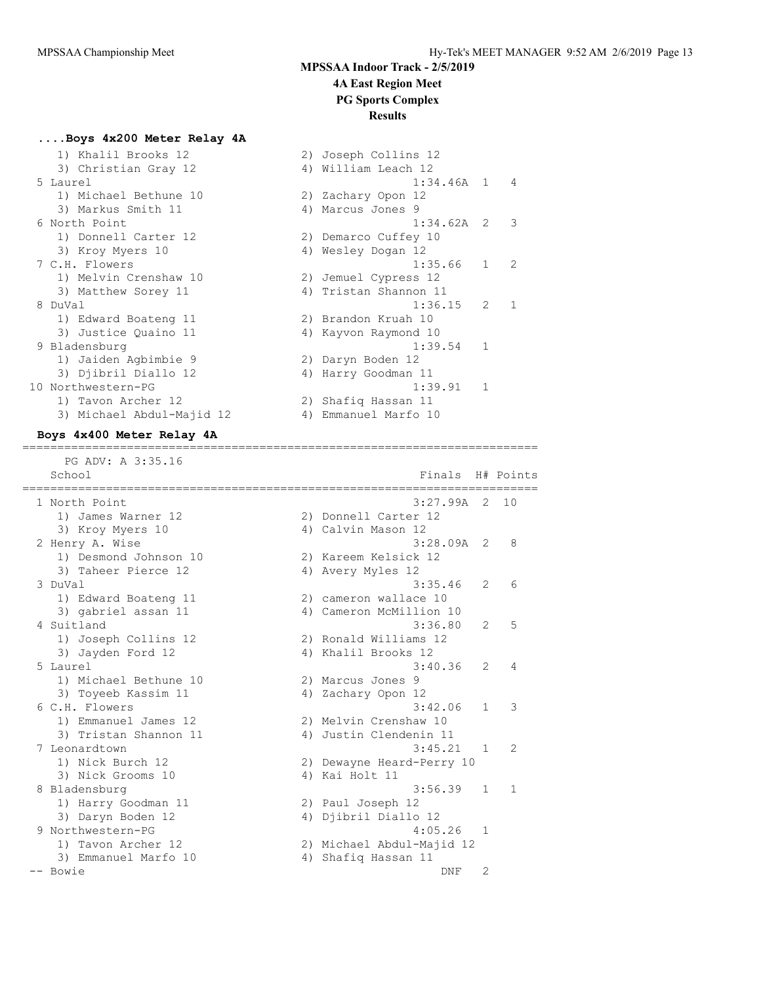## **....Boys 4x200 Meter Relay 4A**

| 1) Khalil Brooks 12       |    | 2) Joseph Collins 12  |                |
|---------------------------|----|-----------------------|----------------|
| 3) Christian Gray 12      |    | 4) William Leach 12   |                |
| 5 Laurel                  |    | $1:34.46A$ 1          |                |
| 1) Michael Bethune 10     |    | 2) Zachary Opon 12    |                |
| 3) Markus Smith 11        |    | 4) Marcus Jones 9     |                |
| 6 North Point             |    | $1:34.62A$ 2          |                |
| 1) Donnell Carter 12      |    | 2) Demarco Cuffey 10  |                |
| 3) Kroy Myers 10          |    | 4) Wesley Dogan 12    |                |
| 7 C.H. Flowers            |    | 1:35.66               | $\mathbf{1}$   |
| 1) Melvin Crenshaw 10     |    | 2) Jemuel Cypress 12  |                |
| 3) Matthew Sorey 11       |    | 4) Tristan Shannon 11 |                |
| 8 DuVal                   |    | 1:36.15               | $\overline{2}$ |
| 1) Edward Boateng 11      |    | 2) Brandon Kruah 10   |                |
| 3) Justice Quaino 11      |    | 4) Kayvon Raymond 10  |                |
| 9 Bladensburg             |    | 1:39.54               | $\mathbf{1}$   |
| 1) Jaiden Agbimbie 9      |    | 2) Daryn Boden 12     |                |
| 3) Djibril Diallo 12      |    | 4) Harry Goodman 11   |                |
| 10 Northwestern-PG        |    | 1:39.91               | 1              |
| 1) Tavon Archer 12        |    | 2) Shafiq Hassan 11   |                |
| 3) Michael Abdul-Majid 12 | 4) | Emmanuel Marfo 10     |                |

| 1) Khalil Brooks 12       |    | 2) Joseph Collins 12  |              |                |
|---------------------------|----|-----------------------|--------------|----------------|
| 3) Christian Gray 12      |    | 4) William Leach 12   |              |                |
| 5 Laurel                  |    | $1:34.46A$ 1          |              | $\overline{4}$ |
| 1) Michael Bethune 10     |    | 2) Zachary Opon 12    |              |                |
| 3) Markus Smith 11        |    | 4) Marcus Jones 9     |              |                |
| 6 North Point             |    | $1:34.62A$ 2 3        |              |                |
| 1) Donnell Carter 12      |    | 2) Demarco Cuffey 10  |              |                |
| 3) Kroy Myers 10          |    | 4) Wesley Dogan 12    |              |                |
| 7 C.H. Flowers            |    | 1:35.66               | $1 \quad 2$  |                |
| 1) Melvin Crenshaw 10     |    | 2) Jemuel Cypress 12  |              |                |
| 3) Matthew Sorey 11       |    | 4) Tristan Shannon 11 |              |                |
| 8 DuVal                   |    | 1:36.15               | $2^{\circ}$  | $\overline{1}$ |
| 1) Edward Boateng 11      |    | 2) Brandon Kruah 10   |              |                |
| 3) Justice Quaino 11      |    | 4) Kayvon Raymond 10  |              |                |
| 9 Bladensburg             |    | 1:39.54               | $\mathbf{1}$ |                |
| 1) Jaiden Aqbimbie 9      |    | 2) Daryn Boden 12     |              |                |
| 3) Djibril Diallo 12      | 4) | Harry Goodman 11      |              |                |
| 10 Northwestern-PG        |    | 1:39.91               | $\mathbf{1}$ |                |
| 1) Tavon Archer 12        |    | 2) Shafiq Hassan 11   |              |                |
| 3) Michael Abdul-Majid 12 | 4) | Emmanuel Marfo 10     |              |                |

#### **Boys 4x400 Meter Relay 4A** ==========================================================================

PG ADV: A 3:35.16

| School                |    | Finals                    |              | H# Points     |
|-----------------------|----|---------------------------|--------------|---------------|
| 1 North Point         |    | $3:27.99A$ 2 10           |              |               |
| 1) James Warner 12    |    | 2) Donnell Carter 12      |              |               |
| 3) Kroy Myers 10      |    | 4) Calvin Mason 12        |              |               |
| 2 Henry A. Wise       |    | $3:28.09A$ 2              |              | 8             |
| 1) Desmond Johnson 10 |    | 2) Kareem Kelsick 12      |              |               |
| 3) Taheer Pierce 12   |    | 4) Avery Myles 12         |              |               |
| 3 DuVal               |    | 3:35.46                   | 2            | 6             |
| 1) Edward Boateng 11  |    | 2) cameron wallace 10     |              |               |
| 3) gabriel assan 11   |    | 4) Cameron McMillion 10   |              |               |
| 4 Suitland            |    | 3:36.80                   | 2            | 5             |
| 1) Joseph Collins 12  |    | 2) Ronald Williams 12     |              |               |
| 3) Jayden Ford 12     |    | 4) Khalil Brooks 12       |              |               |
| 5 Laurel              |    | 3:40.36                   | 2            | 4             |
| 1) Michael Bethune 10 |    | 2) Marcus Jones 9         |              |               |
| 3) Toyeeb Kassim 11   |    | 4) Zachary Opon 12        |              |               |
| 6 C.H. Flowers        |    | 3:42.06                   | $\mathbf{1}$ | 3             |
| 1) Emmanuel James 12  |    | 2) Melvin Crenshaw 10     |              |               |
| 3) Tristan Shannon 11 |    | 4) Justin Clendenin 11    |              |               |
| 7 Leonardtown         |    | 3:45.21                   | 1            | $\mathcal{L}$ |
| 1) Nick Burch 12      |    | 2) Dewayne Heard-Perry 10 |              |               |
| 3) Nick Grooms 10     |    | 4) Kai Holt 11            |              |               |
| 8 Bladensburg         |    | 3:56.39                   | 1            | 1             |
| 1) Harry Goodman 11   |    | 2) Paul Joseph 12         |              |               |
| 3) Daryn Boden 12     |    | 4) Djibril Diallo 12      |              |               |
| 9 Northwestern-PG     |    | 4:05.26                   | 1            |               |
| 1) Tavon Archer 12    |    | 2) Michael Abdul-Majid 12 |              |               |
| 3) Emmanuel Marfo 10  | 4) | Shafiq Hassan 11          |              |               |
| -- Bowie              |    | DNF                       | 2            |               |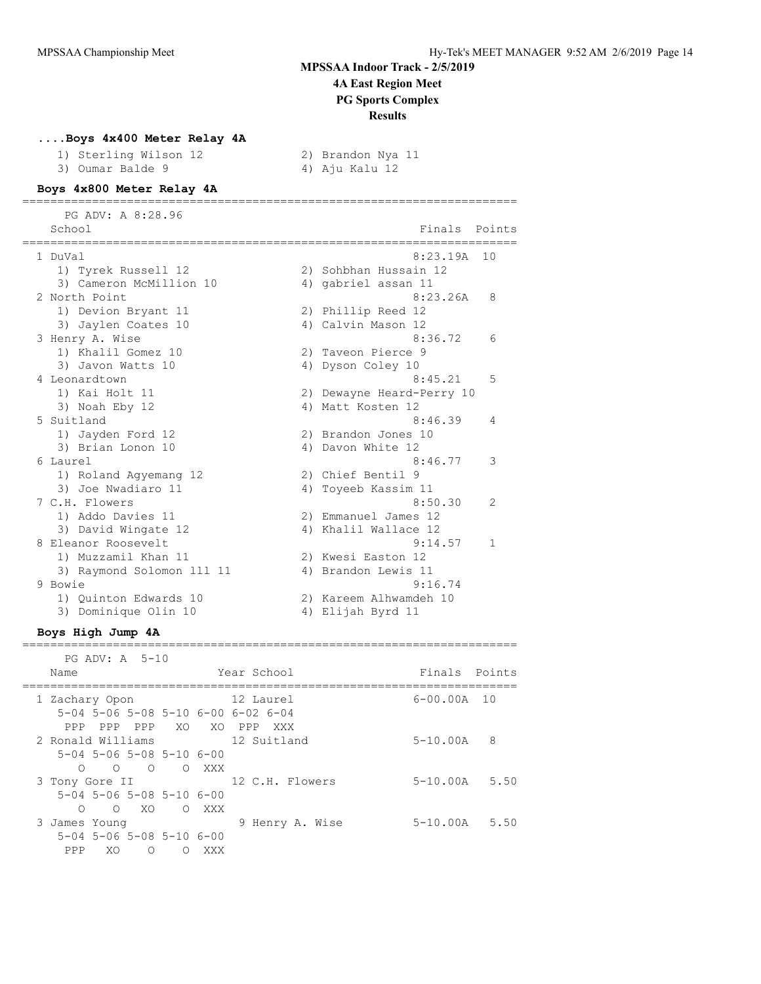### **....Boys 4x400 Meter Relay 4A**

| 1) Sterling Wilson 12 | 2) Brandon Nya 11 |
|-----------------------|-------------------|
| 3) Oumar Balde 9      | 4) Aju Kalu 12    |

#### **Boys 4x800 Meter Relay 4A** =======================================================================

 PG ADV: A 8:28.96 School Finals Points School Finals Points School Finals Points School Finals Points School Finals Points School ======================================================================= 1 DuVal 8:23.19A 10 1) Tyrek Russell 12 2) Sohbhan Hussain 12 3) Cameron McMillion 10 4) gabriel assan 11 2 North Point 8:23.26A 8 1) Devion Bryant 11 2) Phillip Reed 12 3) Jaylen Coates 10 <a>
4) Calvin Mason 12 3 Henry A. Wise 6:36.72 6:36.72 6:36.72 6:36.72 6:36.72 6:36.72 6:36.72 6:36.72 6:36.72 6:36.72 6:36 1) Khalil Gomez 10 2) Taveon Pierce 9 3) Javon Watts 10  $\hskip1cm$  4) Dyson Coley 10 4 Leonardtown 8:45.21 5 1) Kai Holt 11 2) Dewayne Heard-Perry 10 3) Noah Eby 12 4) Matt Kosten 12 5 Suitland 8:46.39 4 1) Jayden Ford 12 2) Brandon Jones 10 3) Brian Lonon 10 4) Davon White 12 6 Laurel 8:46.77 3 1) Roland Agyemang 12 2) Chief Bentil 9 3) Joe Nwadiaro 11 1 1 4) Toyeeb Kassim 11 7 C.H. Flowers 8:50.30 2 1) Addo Davies 11 2) Emmanuel James 12 3) David Wingate 12 (4) Khalil Wallace 12 8 Eleanor Roosevelt 9:14.57 1 1) Muzzamil Khan 11 2) Kwesi Easton 12 3) Raymond Solomon 111 11 4) Brandon Lewis 11 9 Bowie 9:16.74 1) Quinton Edwards 10 2) Kareem Alhwamdeh 10 3) Dominique Olin 10 4) Elijah Byrd 11

### **Boys High Jump 4A**

 PG ADV: A 5-10 Name The Year School Constants Points Points ======================================================================= 1 Zachary Opon 12 Laurel 6-00.00A 10 5-04 5-06 5-08 5-10 6-00 6-02 6-04 PPP PPP PPP XO XO PPP XXX 2 Ronald Williams 12 Suitland 5-10.00A 8 5-04 5-06 5-08 5-10 6-00 O O O O XXX<br>3 Tony Gore II 12 C.H. Flowers 5-10.00A 5.50 5-04 5-06 5-08 5-10 6-00 O O XO O XXX 3 James Young 9 Henry A. Wise 5-10.00A 5.50 5-04 5-06 5-08 5-10 6-00 PPP XO O O XXX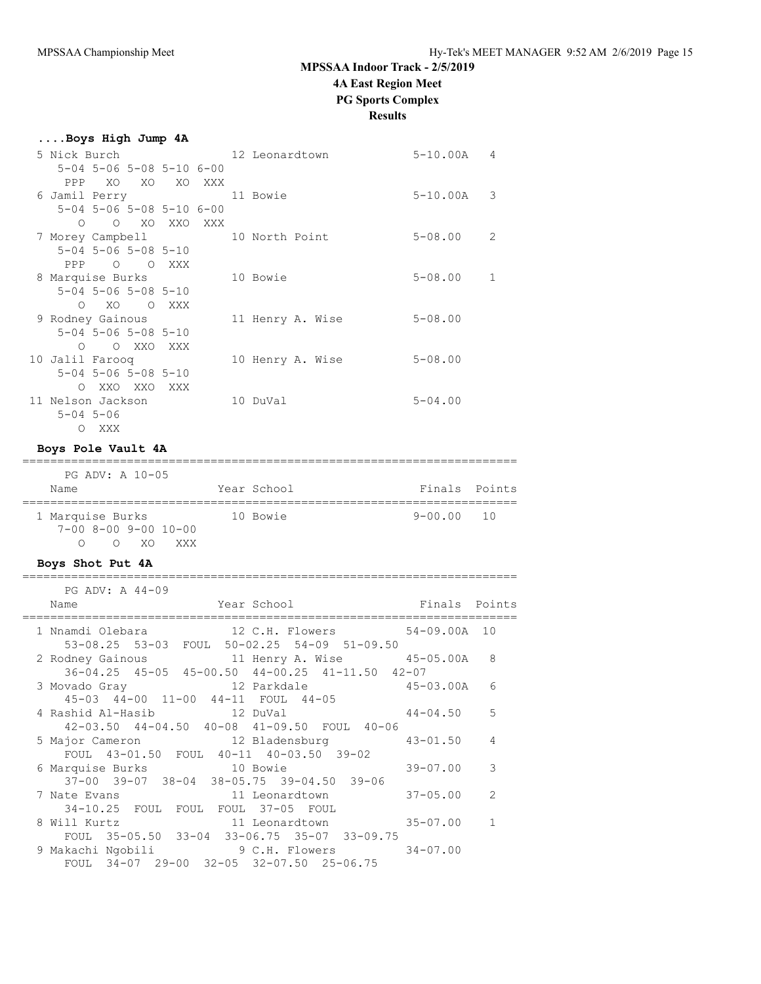## **Results**

| Boys High Jump 4A |                                     |                                              |  |                                 |                |  |
|-------------------|-------------------------------------|----------------------------------------------|--|---------------------------------|----------------|--|
|                   |                                     |                                              |  |                                 | 5-10.00A 4     |  |
|                   |                                     | $5 - 04$ $5 - 06$ $5 - 08$ $5 - 10$ $6 - 00$ |  |                                 |                |  |
|                   |                                     | PPP XO XO XO XXX                             |  |                                 |                |  |
| 6 Jamil Perry     |                                     |                                              |  | 11 Bowie                        | $5 - 10.00A$ 3 |  |
|                   |                                     | $5 - 04$ $5 - 06$ $5 - 08$ $5 - 10$ $6 - 00$ |  |                                 |                |  |
|                   |                                     | O O XO XXO XXX                               |  |                                 |                |  |
|                   |                                     |                                              |  | 7 Morey Campbell 10 North Point | $5 - 08.00$ 2  |  |
|                   | $5 - 04$ $5 - 06$ $5 - 08$ $5 - 10$ |                                              |  |                                 |                |  |
|                   | PPP 0 0 XXX                         |                                              |  |                                 |                |  |
| 8 Marquise Burks  |                                     |                                              |  | 10 Bowie                        | $5 - 08.00$ 1  |  |
|                   | $5 - 04$ $5 - 06$ $5 - 08$ $5 - 10$ |                                              |  |                                 |                |  |
|                   | O XO O XXX                          |                                              |  |                                 |                |  |
| 9 Rodney Gainous  |                                     |                                              |  | 11 Henry A. Wise                | $5 - 08.00$    |  |
|                   | $5 - 04$ $5 - 06$ $5 - 08$ $5 - 10$ |                                              |  |                                 |                |  |
|                   | O O XXO XXX                         |                                              |  |                                 |                |  |
| 10 Jalil Farooq   |                                     |                                              |  | 10 Henry A. Wise                | $5 - 08.00$    |  |
|                   | $5 - 04$ $5 - 06$ $5 - 08$ $5 - 10$ |                                              |  |                                 |                |  |
|                   | O XXO XXO XXX                       |                                              |  |                                 |                |  |
| 11 Nelson Jackson |                                     |                                              |  | 10 DuVal                        | $5 - 04.00$    |  |
| $5 - 04$ $5 - 06$ |                                     |                                              |  |                                 |                |  |
|                   | O XXX                               |                                              |  |                                 |                |  |

#### **Boys Pole Vault 4A**

### ======================================================================= PG ADV: A 10-05<br>Name Year School **Finals** Points

| <b>IVAILL</b>    |                 |      |                        | TAGT AATIAAT |  | THIRTS TATHER |  |
|------------------|-----------------|------|------------------------|--------------|--|---------------|--|
|                  |                 |      |                        |              |  |               |  |
| 1 Marquise Burks |                 |      |                        | 10 Bowie     |  | 9-00.00 10    |  |
|                  |                 |      | $7-00$ 8-00 9-00 10-00 |              |  |               |  |
|                  | $\cap$ $\qquad$ | O XO | XXX.                   |              |  |               |  |

### **Boys Shot Put 4A**

| PG ADV: A 44-09                                                                                              |                |                |
|--------------------------------------------------------------------------------------------------------------|----------------|----------------|
| Finals Points<br>Name<br>Year School                                                                         |                |                |
| 1 Nnamdi Olebara 12 C.H. Flowers 54-09.00A 10<br>53-08.25 53-03 FOUL 50-02.25 54-09 51-09.50                 |                |                |
| 2 Rodney Gainous 11 Henry A. Wise 45-05.00A 8<br>$36-04.25$ $45-05$ $45-00.50$ $44-00.25$ $41-11.50$ $42-07$ |                |                |
| $45-03.00A$<br>3 Movado Gray 12 Parkdale<br>45-03 44-00 11-00 44-11 FOUL 44-05                               |                | 6              |
| 4 Rashid Al-Hasib 12 DuVal<br>42-03.50 44-04.50 40-08 41-09.50 FOUL 40-06                                    | $44 - 04.50$ 5 |                |
| 5 Major Cameron 12 Bladensburg 43-01.50<br>FOUL 43-01.50 FOUL 40-11 40-03.50 39-02                           |                | $\overline{4}$ |
| 6 Marquise Burks 10 Bowie<br>$37-00$ $39-07$ $38-04$ $38-05.75$ $39-04.50$ $39-06$                           | 39-07.00       | 3              |
| 7 Nate Evans 11 Leonardtown<br>34-10.25 FOUL FOUL FOUL 37-05 FOUL                                            | $37 - 05.00$   | 2              |
| 11 Leonardtown<br>8 Will Kurtz<br>FOUL 35-05.50 33-04 33-06.75 35-07 33-09.75                                | 35-07.00       | $\overline{1}$ |
| 9 Makachi Ngobili 9 C.H. Flowers 34-07.00<br>FOUL 34-07 29-00 32-05 32-07.50 25-06.75                        |                |                |